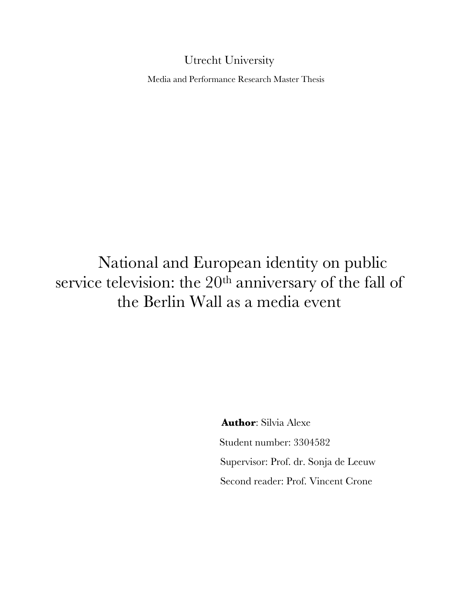# Utrecht University

Media and Performance Research Master Thesis

# National and European identity on public service television: the 20<sup>th</sup> anniversary of the fall of the Berlin Wall as a media event

**Author**: Silvia Alexe Student number: 3304582 Supervisor: Prof. dr. Sonja de Leeuw Second reader: Prof. Vincent Crone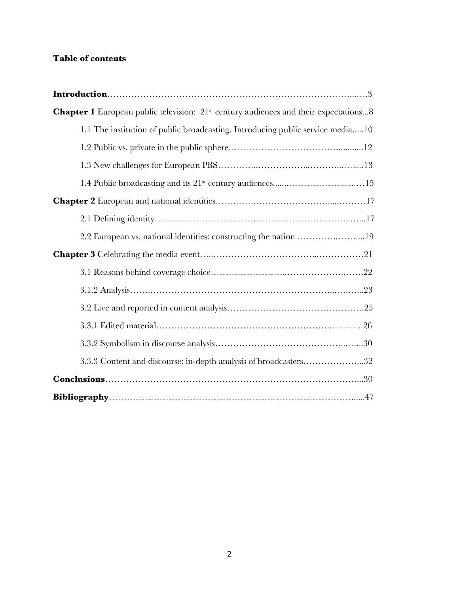# **Table of contents**

| <b>Chapter 1</b> European public television: 21 <sup>st</sup> century audiences and their expectations8 |
|---------------------------------------------------------------------------------------------------------|
| 1.1 The institution of public broadcasting. Introducing public service media10                          |
|                                                                                                         |
|                                                                                                         |
|                                                                                                         |
|                                                                                                         |
|                                                                                                         |
| 2.2 European vs. national identities: constructing the nation 19                                        |
|                                                                                                         |
|                                                                                                         |
|                                                                                                         |
|                                                                                                         |
|                                                                                                         |
|                                                                                                         |
| 3.3.3 Content and discourse: in-depth analysis of broadcasters32                                        |
|                                                                                                         |
|                                                                                                         |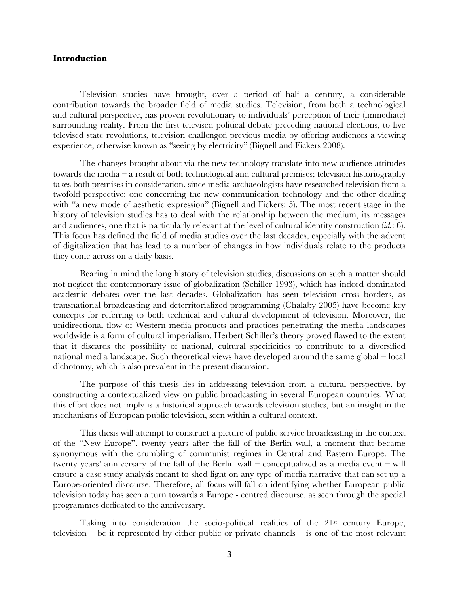# **Introduction**

Television studies have brought, over a period of half a century, a considerable contribution towards the broader field of media studies. Television, from both a technological and cultural perspective, has proven revolutionary to individuals' perception of their (immediate) surrounding reality. From the first televised political debate preceding national elections, to live televised state revolutions, television challenged previous media by offering audiences a viewing experience, otherwise known as "seeing by electricity" (Bignell and Fickers 2008).

The changes brought about via the new technology translate into new audience attitudes towards the media – a result of both technological and cultural premises; television historiography takes both premises in consideration, since media archaeologists have researched television from a twofold perspective: one concerning the new communication technology and the other dealing with "a new mode of aesthetic expression" (Bignell and Fickers: 5). The most recent stage in the history of television studies has to deal with the relationship between the medium, its messages and audiences, one that is particularly relevant at the level of cultural identity construction (*id.*: 6). This focus has defined the field of media studies over the last decades, especially with the advent of digitalization that has lead to a number of changes in how individuals relate to the products they come across on a daily basis.

Bearing in mind the long history of television studies, discussions on such a matter should not neglect the contemporary issue of globalization (Schiller 1993), which has indeed dominated academic debates over the last decades. Globalization has seen television cross borders, as transnational broadcasting and deterritorialized programming (Chalaby 2005) have become key concepts for referring to both technical and cultural development of television. Moreover, the unidirectional flow of Western media products and practices penetrating the media landscapes worldwide is a form of cultural imperialism. Herbert Schiller's theory proved flawed to the extent that it discards the possibility of national, cultural specificities to contribute to a diversified national media landscape. Such theoretical views have developed around the same global – local dichotomy, which is also prevalent in the present discussion.

The purpose of this thesis lies in addressing television from a cultural perspective, by constructing a contextualized view on public broadcasting in several European countries. What this effort does not imply is a historical approach towards television studies, but an insight in the mechanisms of European public television, seen within a cultural context.

This thesis will attempt to construct a picture of public service broadcasting in the context of the "New Europe", twenty years after the fall of the Berlin wall, a moment that became synonymous with the crumbling of communist regimes in Central and Eastern Europe. The twenty years' anniversary of the fall of the Berlin wall – conceptualized as a media event – will ensure a case study analysis meant to shed light on any type of media narrative that can set up a Europe-oriented discourse. Therefore, all focus will fall on identifying whether European public television today has seen a turn towards a Europe - centred discourse, as seen through the special programmes dedicated to the anniversary.

Taking into consideration the socio-political realities of the  $21<sup>st</sup>$  century Europe, television – be it represented by either public or private channels – is one of the most relevant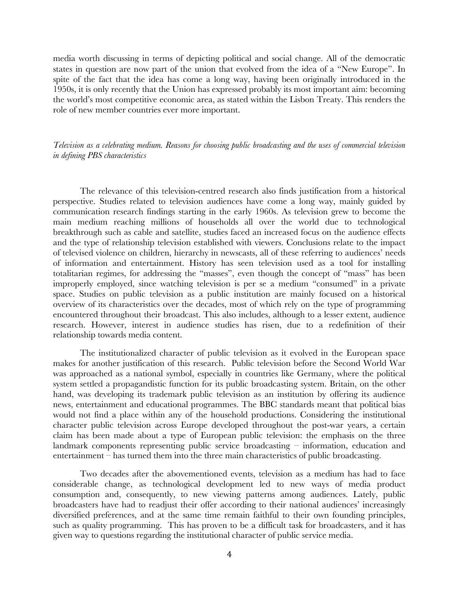media worth discussing in terms of depicting political and social change. All of the democratic states in question are now part of the union that evolved from the idea of a "New Europe". In spite of the fact that the idea has come a long way, having been originally introduced in the 1950s, it is only recently that the Union has expressed probably its most important aim: becoming the world's most competitive economic area, as stated within the Lisbon Treaty. This renders the role of new member countries ever more important.

*Television as a celebrating medium. Reasons for choosing public broadcasting and the uses of commercial television in defining PBS characteristics*

The relevance of this television-centred research also finds justification from a historical perspective. Studies related to television audiences have come a long way, mainly guided by communication research findings starting in the early 1960s. As television grew to become the main medium reaching millions of households all over the world due to technological breakthrough such as cable and satellite, studies faced an increased focus on the audience effects and the type of relationship television established with viewers. Conclusions relate to the impact of televised violence on children, hierarchy in newscasts, all of these referring to audiences' needs of information and entertainment. History has seen television used as a tool for installing totalitarian regimes, for addressing the "masses", even though the concept of "mass" has been improperly employed, since watching television is per se a medium "consumed" in a private space. Studies on public television as a public institution are mainly focused on a historical overview of its characteristics over the decades, most of which rely on the type of programming encountered throughout their broadcast. This also includes, although to a lesser extent, audience research. However, interest in audience studies has risen, due to a redefinition of their relationship towards media content.

The institutionalized character of public television as it evolved in the European space makes for another justification of this research. Public television before the Second World War was approached as a national symbol, especially in countries like Germany, where the political system settled a propagandistic function for its public broadcasting system. Britain, on the other hand, was developing its trademark public television as an institution by offering its audience news, entertainment and educational programmes. The BBC standards meant that political bias would not find a place within any of the household productions. Considering the institutional character public television across Europe developed throughout the post-war years, a certain claim has been made about a type of European public television: the emphasis on the three landmark components representing public service broadcasting – information, education and entertainment – has turned them into the three main characteristics of public broadcasting.

Two decades after the abovementioned events, television as a medium has had to face considerable change, as technological development led to new ways of media product consumption and, consequently, to new viewing patterns among audiences. Lately, public broadcasters have had to readjust their offer according to their national audiences' increasingly diversified preferences, and at the same time remain faithful to their own founding principles, such as quality programming. This has proven to be a difficult task for broadcasters, and it has given way to questions regarding the institutional character of public service media.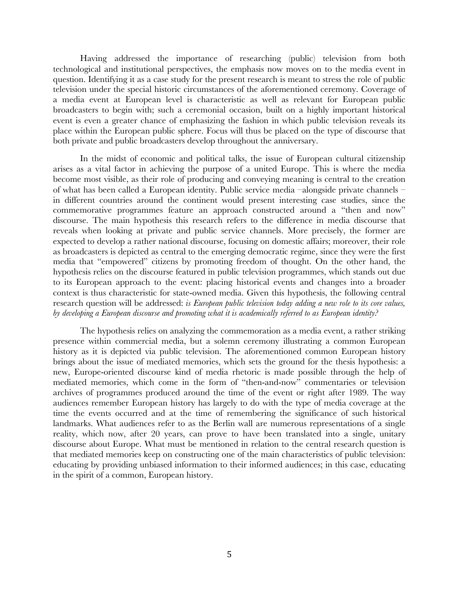Having addressed the importance of researching (public) television from both technological and institutional perspectives, the emphasis now moves on to the media event in question. Identifying it as a case study for the present research is meant to stress the role of public television under the special historic circumstances of the aforementioned ceremony. Coverage of a media event at European level is characteristic as well as relevant for European public broadcasters to begin with; such a ceremonial occasion, built on a highly important historical event is even a greater chance of emphasizing the fashion in which public television reveals its place within the European public sphere. Focus will thus be placed on the type of discourse that both private and public broadcasters develop throughout the anniversary.

In the midst of economic and political talks, the issue of European cultural citizenship arises as a vital factor in achieving the purpose of a united Europe. This is where the media become most visible, as their role of producing and conveying meaning is central to the creation of what has been called a European identity. Public service media –alongside private channels – in different countries around the continent would present interesting case studies, since the commemorative programmes feature an approach constructed around a "then and now" discourse. The main hypothesis this research refers to the difference in media discourse that reveals when looking at private and public service channels. More precisely, the former are expected to develop a rather national discourse, focusing on domestic affairs; moreover, their role as broadcasters is depicted as central to the emerging democratic regime, since they were the first media that "empowered" citizens by promoting freedom of thought. On the other hand, the hypothesis relies on the discourse featured in public television programmes, which stands out due to its European approach to the event: placing historical events and changes into a broader context is thus characteristic for state-owned media. Given this hypothesis, the following central research question will be addressed: *is European public television today adding a new role to its core values, by developing a European discourse and promoting what it is academically referred to as European identity?*

The hypothesis relies on analyzing the commemoration as a media event, a rather striking presence within commercial media, but a solemn ceremony illustrating a common European history as it is depicted via public television. The aforementioned common European history brings about the issue of mediated memories, which sets the ground for the thesis hypothesis: a new, Europe-oriented discourse kind of media rhetoric is made possible through the help of mediated memories, which come in the form of "then-and-now" commentaries or television archives of programmes produced around the time of the event or right after 1989. The way audiences remember European history has largely to do with the type of media coverage at the time the events occurred and at the time of remembering the significance of such historical landmarks. What audiences refer to as the Berlin wall are numerous representations of a single reality, which now, after 20 years, can prove to have been translated into a single, unitary discourse about Europe. What must be mentioned in relation to the central research question is that mediated memories keep on constructing one of the main characteristics of public television: educating by providing unbiased information to their informed audiences; in this case, educating in the spirit of a common, European history.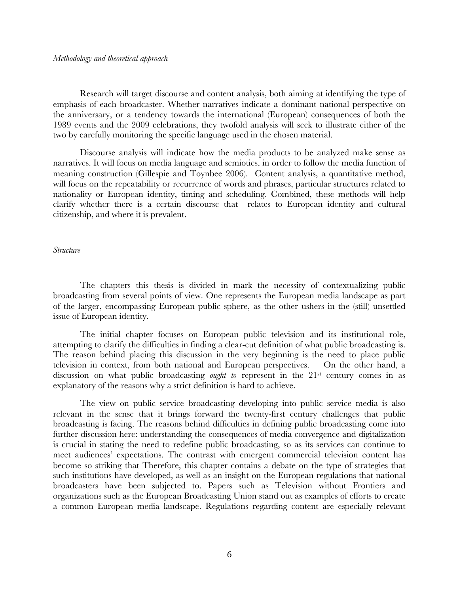# *Methodology and theoretical approach*

Research will target discourse and content analysis, both aiming at identifying the type of emphasis of each broadcaster. Whether narratives indicate a dominant national perspective on the anniversary, or a tendency towards the international (European) consequences of both the 1989 events and the 2009 celebrations, they twofold analysis will seek to illustrate either of the two by carefully monitoring the specific language used in the chosen material.

Discourse analysis will indicate how the media products to be analyzed make sense as narratives. It will focus on media language and semiotics, in order to follow the media function of meaning construction (Gillespie and Toynbee 2006). Content analysis, a quantitative method, will focus on the repeatability or recurrence of words and phrases, particular structures related to nationality or European identity, timing and scheduling. Combined, these methods will help clarify whether there is a certain discourse that relates to European identity and cultural citizenship, and where it is prevalent.

#### *Structure*

The chapters this thesis is divided in mark the necessity of contextualizing public broadcasting from several points of view. One represents the European media landscape as part of the larger, encompassing European public sphere, as the other ushers in the (still) unsettled issue of European identity.

The initial chapter focuses on European public television and its institutional role, attempting to clarify the difficulties in finding a clear-cut definition of what public broadcasting is. The reason behind placing this discussion in the very beginning is the need to place public television in context, from both national and European perspectives. On the other hand, a discussion on what public broadcasting *ought to* represent in the 21<sup>st</sup> century comes in as explanatory of the reasons why a strict definition is hard to achieve.

The view on public service broadcasting developing into public service media is also relevant in the sense that it brings forward the twenty-first century challenges that public broadcasting is facing. The reasons behind difficulties in defining public broadcasting come into further discussion here: understanding the consequences of media convergence and digitalization is crucial in stating the need to redefine public broadcasting, so as its services can continue to meet audiences' expectations. The contrast with emergent commercial television content has become so striking that Therefore, this chapter contains a debate on the type of strategies that such institutions have developed, as well as an insight on the European regulations that national broadcasters have been subjected to. Papers such as Television without Frontiers and organizations such as the European Broadcasting Union stand out as examples of efforts to create a common European media landscape. Regulations regarding content are especially relevant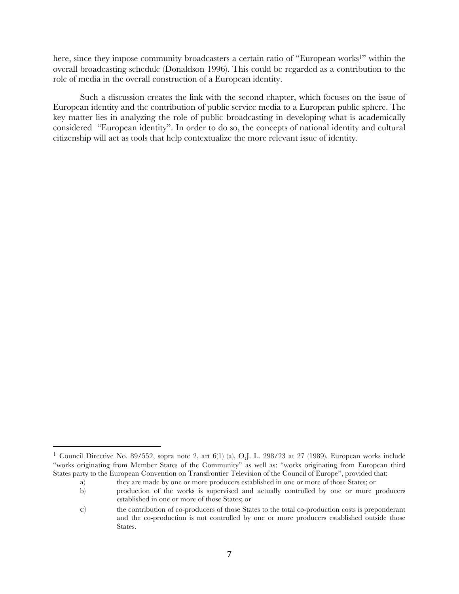here, since they impose community broadcasters a certain ratio of "European works<sup>1</sup>" within the overall broadcasting schedule (Donaldson 1996). This could be regarded as a contribution to the role of media in the overall construction of a European identity.

Such a discussion creates the link with the second chapter, which focuses on the issue of European identity and the contribution of public service media to a European public sphere. The key matter lies in analyzing the role of public broadcasting in developing what is academically considered "European identity". In order to do so, the concepts of national identity and cultural citizenship will act as tools that help contextualize the more relevant issue of identity.

<sup>&</sup>lt;sup>1</sup> Council Directive No. 89/552, sopra note 2, art 6(1) (a), O.J. L. 298/23 at 27 (1989). European works include "works originating from Member States of the Community" as well as: "works originating from European third States party to the European Convention on Transfrontier Television of the Council of Europe", provided that:

a) they are made by one or more producers established in one or more of those States; or

b) production of the works is supervised and actually controlled by one or more producers established in one or more of those States; or

c) the contribution of co-producers of those States to the total co-production costs is preponderant and the co-production is not controlled by one or more producers established outside those States.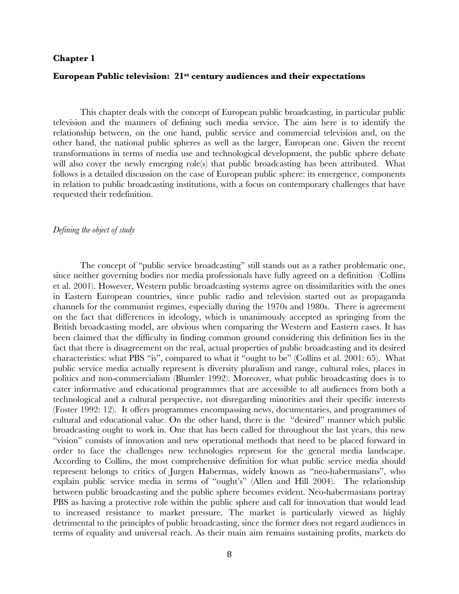# **Chapter 1**

# **European Public television: 21st century audiences and their expectations**

This chapter deals with the concept of European public broadcasting, in particular public television and the manners of defining such media service. The aim here is to identify the relationship between, on the one hand, public service and commercial television and, on the other hand, the national public spheres as well as the larger, European one. Given the recent transformations in terms of media use and technological development, the public sphere debate will also cover the newly emerging role(s) that public broadcasting has been attributed. What follows is a detailed discussion on the case of European public sphere: its emergence, components in relation to public broadcasting institutions, with a focus on contemporary challenges that have requested their redefinition.

#### *Defining the object of study*

The concept of "public service broadcasting" still stands out as a rather problematic one, since neither governing bodies nor media professionals have fully agreed on a definition (Collins et al. 2001). However, Western public broadcasting systems agree on dissimilarities with the ones in Eastern European countries, since public radio and television started out as propaganda channels for the communist regimes, especially during the 1970s and 1980s. There is agreement on the fact that differences in ideology, which is unanimously accepted as springing from the British broadcasting model, are obvious when comparing the Western and Eastern cases. It has been claimed that the difficulty in finding common ground considering this definition lies in the fact that there is disagreement on the real, actual properties of public broadcasting and its desired characteristics: what PBS "is", compared to what it "ought to be" (Collins et al. 2001: 65). What public service media actually represent is diversity pluralism and range, cultural roles, places in politics and non-commercialism (Blumler 1992). Moreover, what public broadcasting does is to cater informative and educational programmes that are accessible to all audiences from both a technological and a cultural perspective, not disregarding minorities and their specific interests (Foster 1992: 12). It offers programmes encompassing news, documentaries, and programmes of cultural and educational value. On the other hand, there is the "desired" manner which public broadcasting ought to work in. One that has been called for throughout the last years, this new "vision" consists of innovation and new operational methods that need to be placed forward in order to face the challenges new technologies represent for the general media landscape. According to Collins, the most comprehensive definition for what public service media should represent belongs to critics of Jurgen Habermas, widely known as "neo-habermasians", who explain public service media in terms of "ought's" (Allen and Hill 2004). The relationship between public broadcasting and the public sphere becomes evident. Neo-habermasians portray PBS as having a protective role within the public sphere and call for innovation that would lead to increased resistance to market pressure. The market is particularly viewed as highly detrimental to the principles of public broadcasting, since the former does not regard audiences in terms of equality and universal reach. As their main aim remains sustaining profits, markets do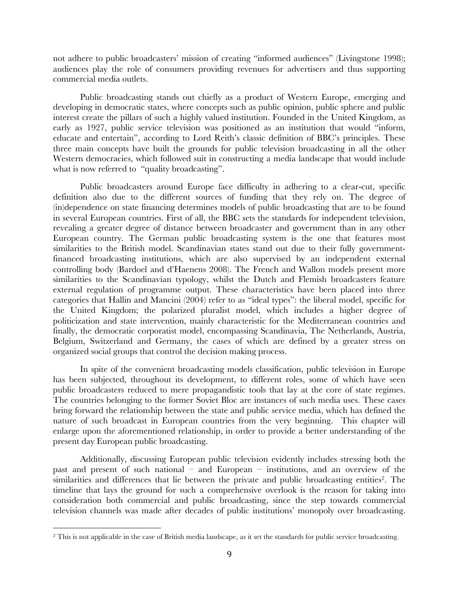not adhere to public broadcasters' mission of creating "informed audiences" (Livingstone 1998); audiences play the role of consumers providing revenues for advertisers and thus supporting commercial media outlets.

Public broadcasting stands out chiefly as a product of Western Europe, emerging and developing in democratic states, where concepts such as public opinion, public sphere and public interest create the pillars of such a highly valued institution. Founded in the United Kingdom, as early as 1927, public service television was positioned as an institution that would "inform, educate and entertain", according to Lord Reith's classic definition of BBC's principles. These three main concepts have built the grounds for public television broadcasting in all the other Western democracies, which followed suit in constructing a media landscape that would include what is now referred to "quality broadcasting".

Public broadcasters around Europe face difficulty in adhering to a clear-cut, specific definition also due to the different sources of funding that they rely on. The degree of (in)dependence on state financing determines models of public broadcasting that are to be found in several European countries. First of all, the BBC sets the standards for independent television, revealing a greater degree of distance between broadcaster and government than in any other European country. The German public broadcasting system is the one that features most similarities to the British model. Scandinavian states stand out due to their fully governmentfinanced broadcasting institutions, which are also supervised by an independent external controlling body (Bardoel and d'Haenens 2008). The French and Wallon models present more similarities to the Scandinavian typology, whilst the Dutch and Flemish broadcasters feature external regulation of programme output. These characteristics have been placed into three categories that Hallin and Mancini (2004) refer to as "ideal types": the liberal model, specific for the United Kingdom; the polarized pluralist model, which includes a higher degree of politicization and state intervention, mainly characteristic for the Mediterranean countries and finally, the democratic corporatist model, encompassing Scandinavia, The Netherlands, Austria, Belgium, Switzerland and Germany, the cases of which are defined by a greater stress on organized social groups that control the decision making process.

In spite of the convenient broadcasting models classification, public television in Europe has been subjected, throughout its development, to different roles, some of which have seen public broadcasters reduced to mere propagandistic tools that lay at the core of state regimes. The countries belonging to the former Soviet Bloc are instances of such media uses. These cases bring forward the relationship between the state and public service media, which has defined the nature of such broadcast in European countries from the very beginning. This chapter will enlarge upon the aforementioned relationship, in order to provide a better understanding of the present day European public broadcasting.

Additionally, discussing European public television evidently includes stressing both the past and present of such national – and European – institutions, and an overview of the similarities and differences that lie between the private and public broadcasting entities<sup>2</sup>. The timeline that lays the ground for such a comprehensive overlook is the reason for taking into consideration both commercial and public broadcasting, since the step towards commercial television channels was made after decades of public institutions' monopoly over broadcasting.

<sup>2</sup> This is not applicable in the case of British media landscape, as it set the standards for public service broadcasting.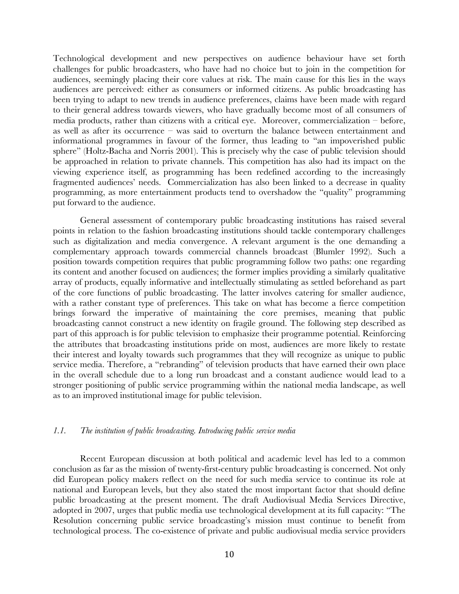Technological development and new perspectives on audience behaviour have set forth challenges for public broadcasters, who have had no choice but to join in the competition for audiences, seemingly placing their core values at risk. The main cause for this lies in the ways audiences are perceived: either as consumers or informed citizens. As public broadcasting has been trying to adapt to new trends in audience preferences, claims have been made with regard to their general address towards viewers, who have gradually become most of all consumers of media products, rather than citizens with a critical eye. Moreover, commercialization – before, as well as after its occurrence – was said to overturn the balance between entertainment and informational programmes in favour of the former, thus leading to "an impoverished public sphere" (Holtz-Bacha and Norris 2001). This is precisely why the case of public television should be approached in relation to private channels. This competition has also had its impact on the viewing experience itself, as programming has been redefined according to the increasingly fragmented audiences' needs. Commercialization has also been linked to a decrease in quality programming, as more entertainment products tend to overshadow the "quality" programming put forward to the audience.

General assessment of contemporary public broadcasting institutions has raised several points in relation to the fashion broadcasting institutions should tackle contemporary challenges such as digitalization and media convergence. A relevant argument is the one demanding a complementary approach towards commercial channels broadcast (Blumler 1992). Such a position towards competition requires that public programming follow two paths: one regarding its content and another focused on audiences; the former implies providing a similarly qualitative array of products, equally informative and intellectually stimulating as settled beforehand as part of the core functions of public broadcasting. The latter involves catering for smaller audience, with a rather constant type of preferences. This take on what has become a fierce competition brings forward the imperative of maintaining the core premises, meaning that public broadcasting cannot construct a new identity on fragile ground. The following step described as part of this approach is for public television to emphasize their programme potential. Reinforcing the attributes that broadcasting institutions pride on most, audiences are more likely to restate their interest and loyalty towards such programmes that they will recognize as unique to public service media. Therefore, a "rebranding" of television products that have earned their own place in the overall schedule due to a long run broadcast and a constant audience would lead to a stronger positioning of public service programming within the national media landscape, as well as to an improved institutional image for public television.

# *1.1. The institution of public broadcasting. Introducing public service media*

Recent European discussion at both political and academic level has led to a common conclusion as far as the mission of twenty-first-century public broadcasting is concerned. Not only did European policy makers reflect on the need for such media service to continue its role at national and European levels, but they also stated the most important factor that should define public broadcasting at the present moment. The draft Audiovisual Media Services Directive, adopted in 2007, urges that public media use technological development at its full capacity: "The Resolution concerning public service broadcasting's mission must continue to benefit from technological process. The co-existence of private and public audiovisual media service providers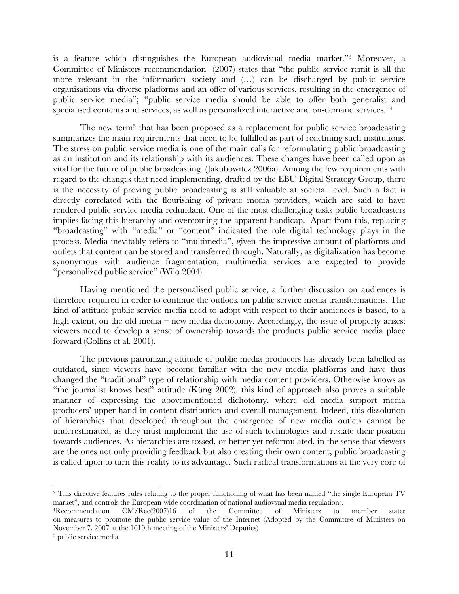is a feature which distinguishes the European audiovisual media market."3 Moreover, a Committee of Ministers recommendation (2007) states that "the public service remit is all the more relevant in the information society and (…) can be discharged by public service organisations via diverse platforms and an offer of various services, resulting in the emergence of public service media"; "public service media should be able to offer both generalist and specialised contents and services, as well as personalized interactive and on-demand services."<sup>4</sup>

The new term<sup>5</sup> that has been proposed as a replacement for public service broadcasting summarizes the main requirements that need to be fulfilled as part of redefining such institutions. The stress on public service media is one of the main calls for reformulating public broadcasting as an institution and its relationship with its audiences. These changes have been called upon as vital for the future of public broadcasting (Jakubowitcz 2006a). Among the few requirements with regard to the changes that need implementing, drafted by the EBU Digital Strategy Group, there is the necessity of proving public broadcasting is still valuable at societal level. Such a fact is directly correlated with the flourishing of private media providers, which are said to have rendered public service media redundant. One of the most challenging tasks public broadcasters implies facing this hierarchy and overcoming the apparent handicap. Apart from this, replacing "broadcasting" with "media" or "content" indicated the role digital technology plays in the process. Media inevitably refers to "multimedia", given the impressive amount of platforms and outlets that content can be stored and transferred through. Naturally, as digitalization has become synonymous with audience fragmentation, multimedia services are expected to provide "personalized public service" (Wiio 2004).

Having mentioned the personalised public service, a further discussion on audiences is therefore required in order to continue the outlook on public service media transformations. The kind of attitude public service media need to adopt with respect to their audiences is based, to a high extent, on the old media – new media dichotomy. Accordingly, the issue of property arises: viewers need to develop a sense of ownership towards the products public service media place forward (Collins et al. 2001).

The previous patronizing attitude of public media producers has already been labelled as outdated, since viewers have become familiar with the new media platforms and have thus changed the "traditional" type of relationship with media content providers. Otherwise knows as "the journalist knows best" attitude (Küng 2002), this kind of approach also proves a suitable manner of expressing the abovementioned dichotomy, where old media support media producers' upper hand in content distribution and overall management. Indeed, this dissolution of hierarchies that developed throughout the emergence of new media outlets cannot be underestimated, as they must implement the use of such technologies and restate their position towards audiences. As hierarchies are tossed, or better yet reformulated, in the sense that viewers are the ones not only providing feedback but also creating their own content, public broadcasting is called upon to turn this reality to its advantage. Such radical transformations at the very core of

<sup>3</sup> This directive features rules relating to the proper functioning of what has been named "the single European TV market", and controls the European-wide coordination of national audiovsual media regulations.

<sup>4</sup>Recommendation CM/Rec(2007)16 of the Committee of Ministers to member states on measures to promote the public service value of the Internet (Adopted by the Committee of Ministers on November 7, 2007 at the 1010th meeting of the Ministers' Deputies)

<sup>5</sup> public service media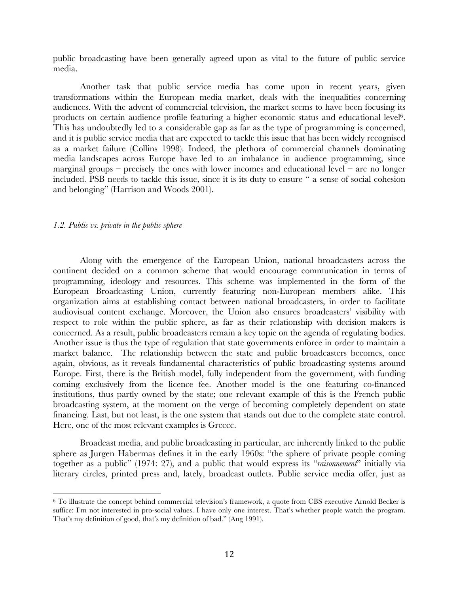public broadcasting have been generally agreed upon as vital to the future of public service media.

Another task that public service media has come upon in recent years, given transformations within the European media market, deals with the inequalities concerning audiences. With the advent of commercial television, the market seems to have been focusing its products on certain audience profile featuring a higher economic status and educational level 6. This has undoubtedly led to a considerable gap as far as the type of programming is concerned, and it is public service media that are expected to tackle this issue that has been widely recognised as a market failure (Collins 1998). Indeed, the plethora of commercial channels dominating media landscapes across Europe have led to an imbalance in audience programming, since marginal groups – precisely the ones with lower incomes and educational level – are no longer included. PSB needs to tackle this issue, since it is its duty to ensure " a sense of social cohesion and belonging" (Harrison and Woods 2001).

#### *1.2. Public vs. private in the public sphere*

Along with the emergence of the European Union, national broadcasters across the continent decided on a common scheme that would encourage communication in terms of programming, ideology and resources. This scheme was implemented in the form of the European Broadcasting Union, currently featuring non-European members alike. This organization aims at establishing contact between national broadcasters, in order to facilitate audiovisual content exchange. Moreover, the Union also ensures broadcasters' visibility with respect to role within the public sphere, as far as their relationship with decision makers is concerned. As a result, public broadcasters remain a key topic on the agenda of regulating bodies. Another issue is thus the type of regulation that state governments enforce in order to maintain a market balance. The relationship between the state and public broadcasters becomes, once again, obvious, as it reveals fundamental characteristics of public broadcasting systems around Europe. First, there is the British model, fully independent from the government, with funding coming exclusively from the licence fee. Another model is the one featuring co-financed institutions, thus partly owned by the state; one relevant example of this is the French public broadcasting system, at the moment on the verge of becoming completely dependent on state financing. Last, but not least, is the one system that stands out due to the complete state control. Here, one of the most relevant examples is Greece.

Broadcast media, and public broadcasting in particular, are inherently linked to the public sphere as Jurgen Habermas defines it in the early 1960s: "the sphere of private people coming together as a public" (1974: 27), and a public that would express its "*raisonnement*" initially via literary circles, printed press and, lately, broadcast outlets. Public service media offer, just as

<sup>6</sup> To illustrate the concept behind commercial television's framework, a quote from CBS executive Arnold Becker is suffice: I'm not interested in pro-social values. I have only one interest. That's whether people watch the program. That's my definition of good, that's my definition of bad." (Ang 1991).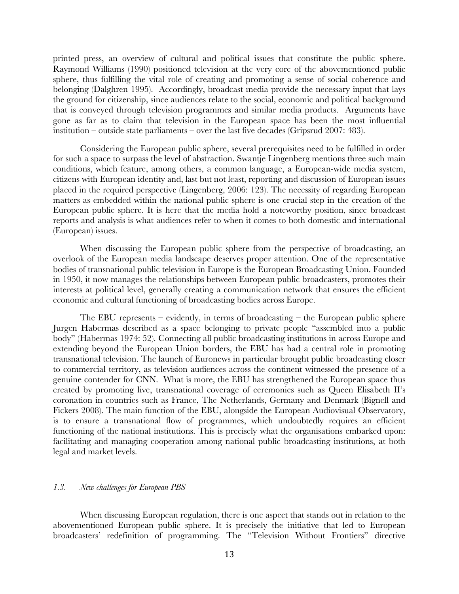printed press, an overview of cultural and political issues that constitute the public sphere. Raymond Williams (1990) positioned television at the very core of the abovementioned public sphere, thus fulfilling the vital role of creating and promoting a sense of social coherence and belonging (Dalghren 1995). Accordingly, broadcast media provide the necessary input that lays the ground for citizenship, since audiences relate to the social, economic and political background that is conveyed through television programmes and similar media products. Arguments have gone as far as to claim that television in the European space has been the most influential institution – outside state parliaments – over the last five decades (Gripsrud 2007: 483).

Considering the European public sphere, several prerequisites need to be fulfilled in order for such a space to surpass the level of abstraction. Swantje Lingenberg mentions three such main conditions, which feature, among others, a common language, a European-wide media system, citizens with European identity and, last but not least, reporting and discussion of European issues placed in the required perspective (Lingenberg, 2006: 123). The necessity of regarding European matters as embedded within the national public sphere is one crucial step in the creation of the European public sphere. It is here that the media hold a noteworthy position, since broadcast reports and analysis is what audiences refer to when it comes to both domestic and international (European) issues.

When discussing the European public sphere from the perspective of broadcasting, an overlook of the European media landscape deserves proper attention. One of the representative bodies of transnational public television in Europe is the European Broadcasting Union. Founded in 1950, it now manages the relationships between European public broadcasters, promotes their interests at political level, generally creating a communication network that ensures the efficient economic and cultural functioning of broadcasting bodies across Europe.

The EBU represents – evidently, in terms of broadcasting – the European public sphere Jurgen Habermas described as a space belonging to private people "assembled into a public body" (Habermas 1974: 52). Connecting all public broadcasting institutions in across Europe and extending beyond the European Union borders, the EBU has had a central role in promoting transnational television. The launch of Euronews in particular brought public broadcasting closer to commercial territory, as television audiences across the continent witnessed the presence of a genuine contender for CNN. What is more, the EBU has strengthened the European space thus created by promoting live, transnational coverage of ceremonies such as Queen Elisabeth II's coronation in countries such as France, The Netherlands, Germany and Denmark (Bignell and Fickers 2008). The main function of the EBU, alongside the European Audiovisual Observatory, is to ensure a transnational flow of programmes, which undoubtedly requires an efficient functioning of the national institutions. This is precisely what the organisations embarked upon: facilitating and managing cooperation among national public broadcasting institutions, at both legal and market levels.

# *1.3. New challenges for European PBS*

When discussing European regulation, there is one aspect that stands out in relation to the abovementioned European public sphere. It is precisely the initiative that led to European broadcasters' redefinition of programming. The "Television Without Frontiers" directive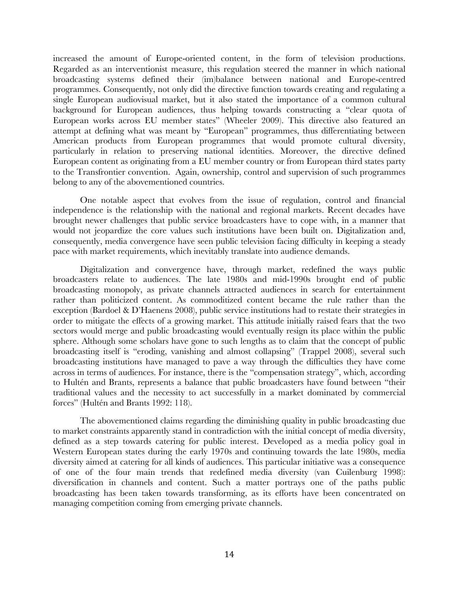increased the amount of Europe-oriented content, in the form of television productions. Regarded as an interventionist measure, this regulation steered the manner in which national broadcasting systems defined their (im)balance between national and Europe-centred programmes. Consequently, not only did the directive function towards creating and regulating a single European audiovisual market, but it also stated the importance of a common cultural background for European audiences, thus helping towards constructing a "clear quota of European works across EU member states" (Wheeler 2009). This directive also featured an attempt at defining what was meant by "European" programmes, thus differentiating between American products from European programmes that would promote cultural diversity, particularly in relation to preserving national identities. Moreover, the directive defined European content as originating from a EU member country or from European third states party to the Transfrontier convention. Again, ownership, control and supervision of such programmes belong to any of the abovementioned countries.

One notable aspect that evolves from the issue of regulation, control and financial independence is the relationship with the national and regional markets. Recent decades have brought newer challenges that public service broadcasters have to cope with, in a manner that would not jeopardize the core values such institutions have been built on. Digitalization and, consequently, media convergence have seen public television facing difficulty in keeping a steady pace with market requirements, which inevitably translate into audience demands.

Digitalization and convergence have, through market, redefined the ways public broadcasters relate to audiences. The late 1980s and mid-1990s brought end of public broadcasting monopoly, as private channels attracted audiences in search for entertainment rather than politicized content. As commoditized content became the rule rather than the exception (Bardoel & D'Haenens 2008), public service institutions had to restate their strategies in order to mitigate the effects of a growing market. This attitude initially raised fears that the two sectors would merge and public broadcasting would eventually resign its place within the public sphere. Although some scholars have gone to such lengths as to claim that the concept of public broadcasting itself is "eroding, vanishing and almost collapsing" (Trappel 2008), several such broadcasting institutions have managed to pave a way through the difficulties they have come across in terms of audiences. For instance, there is the "compensation strategy", which, according to Hultén and Brants, represents a balance that public broadcasters have found between "their traditional values and the necessity to act successfully in a market dominated by commercial forces" (Hultén and Brants 1992: 118).

The abovementioned claims regarding the diminishing quality in public broadcasting due to market constraints apparently stand in contradiction with the initial concept of media diversity, defined as a step towards catering for public interest. Developed as a media policy goal in Western European states during the early 1970s and continuing towards the late 1980s, media diversity aimed at catering for all kinds of audiences. This particular initiative was a consequence of one of the four main trends that redefined media diversity (van Cuilenburg 1998): diversification in channels and content. Such a matter portrays one of the paths public broadcasting has been taken towards transforming, as its efforts have been concentrated on managing competition coming from emerging private channels.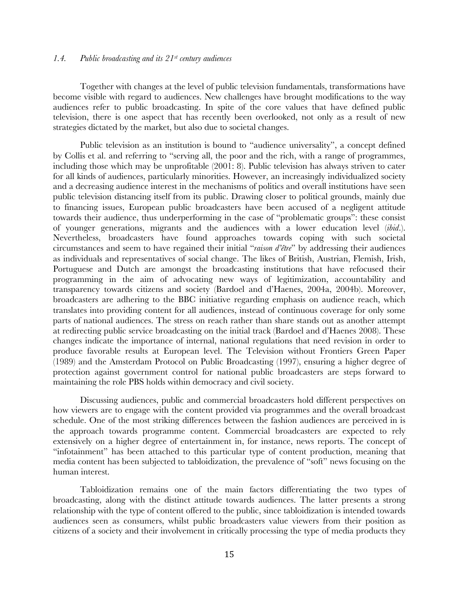# *1.4. Public broadcasting and its 21st century audiences*

Together with changes at the level of public television fundamentals, transformations have become visible with regard to audiences. New challenges have brought modifications to the way audiences refer to public broadcasting. In spite of the core values that have defined public television, there is one aspect that has recently been overlooked, not only as a result of new strategies dictated by the market, but also due to societal changes.

Public television as an institution is bound to "audience universality", a concept defined by Collis et al. and referring to "serving all, the poor and the rich, with a range of programmes, including those which may be unprofitable (2001: 8). Public television has always striven to cater for all kinds of audiences, particularly minorities. However, an increasingly individualized society and a decreasing audience interest in the mechanisms of politics and overall institutions have seen public television distancing itself from its public. Drawing closer to political grounds, mainly due to financing issues, European public broadcasters have been accused of a negligent attitude towards their audience, thus underperforming in the case of "problematic groups": these consist of younger generations, migrants and the audiences with a lower education level (*ibid*.). Nevertheless, broadcasters have found approaches towards coping with such societal circumstances and seem to have regained their initial "*raison d'être*" by addressing their audiences as individuals and representatives of social change. The likes of British, Austrian, Flemish, Irish, Portuguese and Dutch are amongst the broadcasting institutions that have refocused their programming in the aim of advocating new ways of legitimization, accountability and transparency towards citizens and society (Bardoel and d'Haenes, 2004a, 2004b). Moreover, broadcasters are adhering to the BBC initiative regarding emphasis on audience reach, which translates into providing content for all audiences, instead of continuous coverage for only some parts of national audiences. The stress on reach rather than share stands out as another attempt at redirecting public service broadcasting on the initial track (Bardoel and d'Haenes 2008). These changes indicate the importance of internal, national regulations that need revision in order to produce favorable results at European level. The Television without Frontiers Green Paper (1989) and the Amsterdam Protocol on Public Broadcasting (1997), ensuring a higher degree of protection against government control for national public broadcasters are steps forward to maintaining the role PBS holds within democracy and civil society.

Discussing audiences, public and commercial broadcasters hold different perspectives on how viewers are to engage with the content provided via programmes and the overall broadcast schedule. One of the most striking differences between the fashion audiences are perceived in is the approach towards programme content. Commercial broadcasters are expected to rely extensively on a higher degree of entertainment in, for instance, news reports. The concept of "infotainment" has been attached to this particular type of content production, meaning that media content has been subjected to tabloidization, the prevalence of "soft" news focusing on the human interest.

Tabloidization remains one of the main factors differentiating the two types of broadcasting, along with the distinct attitude towards audiences. The latter presents a strong relationship with the type of content offered to the public, since tabloidization is intended towards audiences seen as consumers, whilst public broadcasters value viewers from their position as citizens of a society and their involvement in critically processing the type of media products they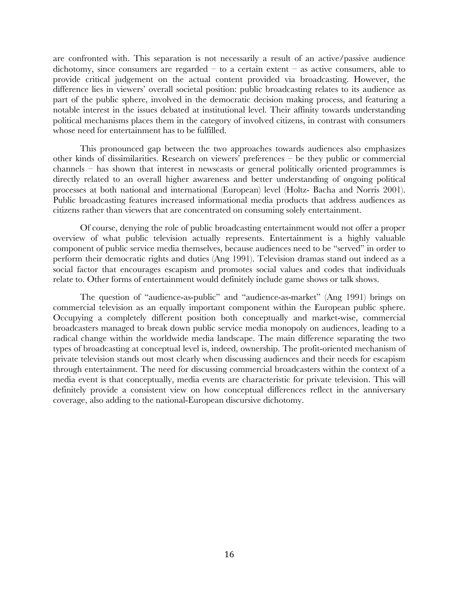are confronted with. This separation is not necessarily a result of an active/passive audience dichotomy, since consumers are regarded – to a certain extent – as active consumers, able to provide critical judgement on the actual content provided via broadcasting. However, the difference lies in viewers' overall societal position: public broadcasting relates to its audience as part of the public sphere, involved in the democratic decision making process, and featuring a notable interest in the issues debated at institutional level. Their affinity towards understanding political mechanisms places them in the category of involved citizens, in contrast with consumers whose need for entertainment has to be fulfilled.

This pronounced gap between the two approaches towards audiences also emphasizes other kinds of dissimilarities. Research on viewers' preferences – be they public or commercial channels – has shown that interest in newscasts or general politically oriented programmes is directly related to an overall higher awareness and better understanding of ongoing political processes at both national and international (European) level (Holtz- Bacha and Norris 2001). Public broadcasting features increased informational media products that address audiences as citizens rather than viewers that are concentrated on consuming solely entertainment.

Of course, denying the role of public broadcasting entertainment would not offer a proper overview of what public television actually represents. Entertainment is a highly valuable component of public service media themselves, because audiences need to be "served" in order to perform their democratic rights and duties (Ang 1991). Television dramas stand out indeed as a social factor that encourages escapism and promotes social values and codes that individuals relate to. Other forms of entertainment would definitely include game shows or talk shows.

The question of "audience-as-public" and "audience-as-market" (Ang 1991) brings on commercial television as an equally important component within the European public sphere. Occupying a completely different position both conceptually and market-wise, commercial broadcasters managed to break down public service media monopoly on audiences, leading to a radical change within the worldwide media landscape. The main difference separating the two types of broadcasting at conceptual level is, indeed, ownership. The profit-oriented mechanism of private television stands out most clearly when discussing audiences and their needs for escapism through entertainment. The need for discussing commercial broadcasters within the context of a media event is that conceptually, media events are characteristic for private television. This will definitely provide a consistent view on how conceptual differences reflect in the anniversary coverage, also adding to the national-European discursive dichotomy.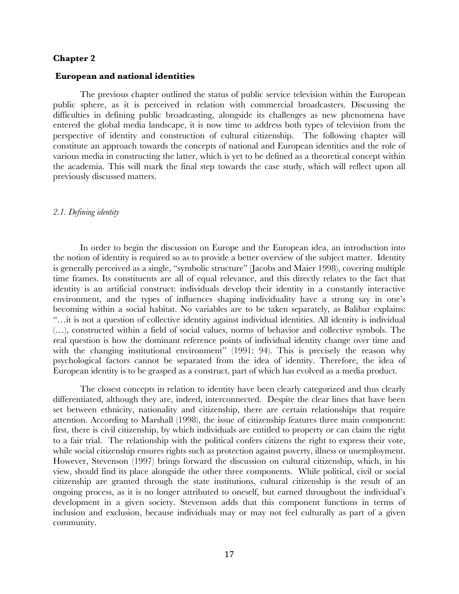# **Chapter 2**

#### **European and national identities**

The previous chapter outlined the status of public service television within the European public sphere, as it is perceived in relation with commercial broadcasters. Discussing the difficulties in defining public broadcasting, alongside its challenges as new phenomena have entered the global media landscape, it is now time to address both types of television from the perspective of identity and construction of cultural citizenship. The following chapter will constitute an approach towards the concepts of national and European identities and the role of various media in constructing the latter, which is yet to be defined as a theoretical concept within the academia. This will mark the final step towards the case study, which will reflect upon all previously discussed matters.

# *2.1. Defining identity*

In order to begin the discussion on Europe and the European idea, an introduction into the notion of identity is required so as to provide a better overview of the subject matter. Identity is generally perceived as a single, "symbolic structure" (Jacobs and Maier 1998), covering multiple time frames. Its constituents are all of equal relevance, and this directly relates to the fact that identity is an artificial construct: individuals develop their identity in a constantly interactive environment, and the types of influences shaping individuality have a strong say in one's becoming within a social habitat. No variables are to be taken separately, as Balibar explains: "…it is not a question of collective identity against individual identities. All identity is individual (…), constructed within a field of social values, norms of behavior and collective symbols. The real question is how the dominant reference points of individual identity change over time and with the changing institutional environment" (1991: 94). This is precisely the reason why psychological factors cannot be separated from the idea of identity. Therefore, the idea of European identity is to be grasped as a construct, part of which has evolved as a media product.

The closest concepts in relation to identity have been clearly categorized and thus clearly differentiated, although they are, indeed, interconnected. Despite the clear lines that have been set between ethnicity, nationality and citizenship, there are certain relationships that require attention. According to Marshall (1998), the issue of citizenship features three main component: first, there is civil citizenship, by which individuals are entitled to property or can claim the right to a fair trial. The relationship with the political confers citizens the right to express their vote, while social citizenship ensures rights such as protection against poverty, illness or unemployment. However, Stevenson (1997) brings forward the discussion on cultural citizenship, which, in his view, should find its place alongside the other three components. While political, civil or social citizenship are granted through the state institutions, cultural citizenship is the result of an ongoing process, as it is no longer attributed to oneself, but earned throughout the individual's development in a given society. Stevenson adds that this component functions in terms of inclusion and exclusion, because individuals may or may not feel culturally as part of a given community.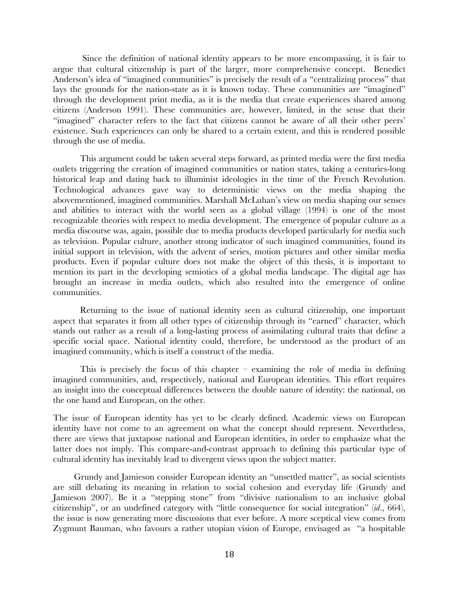Since the definition of national identity appears to be more encompassing, it is fair to argue that cultural citizenship is part of the larger, more comprehensive concept. Benedict Anderson's idea of "imagined communities" is precisely the result of a "centralizing process" that lays the grounds for the nation-state as it is known today. These communities are "imagined" through the development print media, as it is the media that create experiences shared among citizens (Anderson 1991). These communities are, however, limited, in the sense that their "imagined" character refers to the fact that citizens cannot be aware of all their other peers' existence. Such experiences can only be shared to a certain extent, and this is rendered possible through the use of media.

This argument could be taken several steps forward, as printed media were the first media outlets triggering the creation of imagined communities or nation states, taking a centuries-long historical leap and dating back to illuminist ideologies in the time of the French Revolution. Technological advances gave way to deterministic views on the media shaping the abovementioned, imagined communities. Marshall McLuhan's view on media shaping our senses and abilities to interact with the world seen as a global village (1994) is one of the most recognizable theories with respect to media development. The emergence of popular culture as a media discourse was, again, possible due to media products developed particularly for media such as television. Popular culture, another strong indicator of such imagined communities, found its initial support in television, with the advent of series, motion pictures and other similar media products. Even if popular culture does not make the object of this thesis, it is important to mention its part in the developing semiotics of a global media landscape. The digital age has brought an increase in media outlets, which also resulted into the emergence of online communities.

Returning to the issue of national identity seen as cultural citizenship, one important aspect that separates it from all other types of citizenship through its "earned" character, which stands out rather as a result of a long-lasting process of assimilating cultural traits that define a specific social space. National identity could, therefore, be understood as the product of an imagined community, which is itself a construct of the media.

This is precisely the focus of this chapter – examining the role of media in defining imagined communities, and, respectively, national and European identities. This effort requires an insight into the conceptual differences between the double nature of identity: the national, on the one hand and European, on the other.

The issue of European identity has yet to be clearly defined. Academic views on European identity have not come to an agreement on what the concept should represent. Nevertheless, there are views that juxtapose national and European identities, in order to emphasize what the latter does not imply. This compare-and-contrast approach to defining this particular type of cultural identity has inevitably lead to divergent views upon the subject matter.

Grundy and Jamieson consider European identity an "unsettled matter", as social scientists are still debating its meaning in relation to social cohesion and everyday life (Grundy and Jamieson 2007). Be it a "stepping stone" from "divisive nationalism to an inclusive global citizenship", or an undefined category with "little consequence for social integration" (*id*., 664), the issue is now generating more discussions that ever before. A more sceptical view comes from Zygmunt Bauman, who favours a rather utopian vision of Europe, envisaged as "a hospitable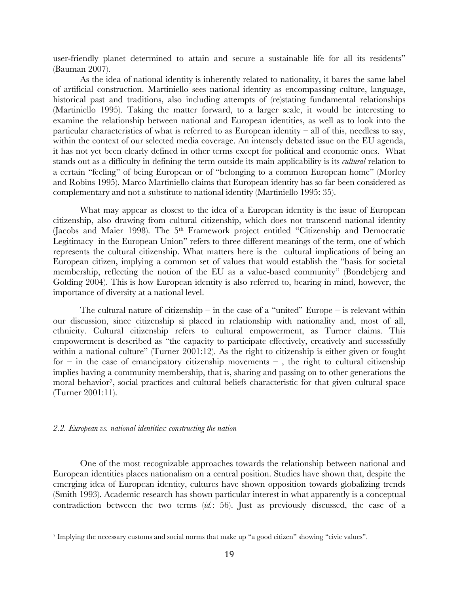user-friendly planet determined to attain and secure a sustainable life for all its residents" (Bauman 2007).

As the idea of national identity is inherently related to nationality, it bares the same label of artificial construction. Martiniello sees national identity as encompassing culture, language, historical past and traditions, also including attempts of (re)stating fundamental relationships (Martiniello 1995). Taking the matter forward, to a larger scale, it would be interesting to examine the relationship between national and European identities, as well as to look into the particular characteristics of what is referred to as European identity – all of this, needless to say, within the context of our selected media coverage. An intensely debated issue on the EU agenda, it has not yet been clearly defined in other terms except for political and economic ones. What stands out as a difficulty in defining the term outside its main applicability is its *cultural* relation to a certain "feeling" of being European or of "belonging to a common European home" (Morley and Robins 1995). Marco Martiniello claims that European identity has so far been considered as complementary and not a substitute to national identity (Martiniello 1995: 35).

What may appear as closest to the idea of a European identity is the issue of European citizenship, also drawing from cultural citizenship, which does not transcend national identity (Jacobs and Maier 1998). The 5<sup>th</sup> Framework project entitled "Citizenship and Democratic Legitimacy in the European Union" refers to three different meanings of the term, one of which represents the cultural citizenship. What matters here is the cultural implications of being an European citizen, implying a common set of values that would establish the "basis for societal membership, reflecting the notion of the EU as a value-based community" (Bondebjerg and Golding 2004). This is how European identity is also referred to, bearing in mind, however, the importance of diversity at a national level.

The cultural nature of citizenship – in the case of a "united" Europe – is relevant within our discussion, since citizenship si placed in relationship with nationality and, most of all, ethnicity. Cultural citizenship refers to cultural empowerment, as Turner claims. This empowerment is described as "the capacity to participate effectively, creatively and sucesssfully within a national culture" (Turner 2001:12). As the right to citizenship is either given or fought for – in the case of emancipatory citizenship movements –, the right to cultural citizenship implies having a community membership, that is, sharing and passing on to other generations the moral behavior<sup>7</sup>, social practices and cultural beliefs characteristic for that given cultural space (Turner 2001:11).

#### *2.2. European vs. national identities: constructing the nation*

One of the most recognizable approaches towards the relationship between national and European identities places nationalism on a central position. Studies have shown that, despite the emerging idea of European identity, cultures have shown opposition towards globalizing trends (Smith 1993). Academic research has shown particular interest in what apparently is a conceptual contradiction between the two terms (*id.*: 56). Just as previously discussed, the case of a

<sup>7</sup> Implying the necessary customs and social norms that make up "a good citizen" showing "civic values".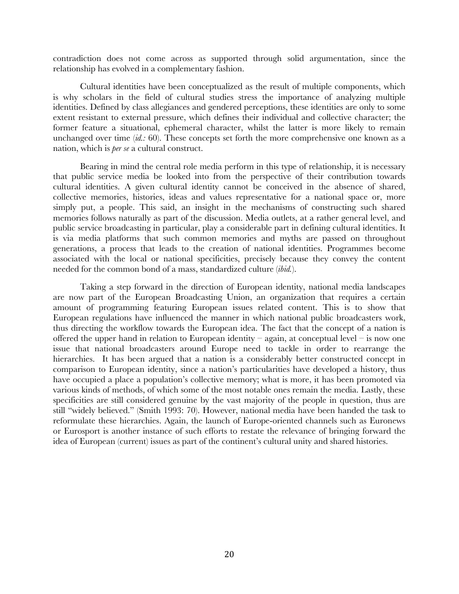contradiction does not come across as supported through solid argumentation, since the relationship has evolved in a complementary fashion.

Cultural identities have been conceptualized as the result of multiple components, which is why scholars in the field of cultural studies stress the importance of analyzing multiple identities. Defined by class allegiances and gendered perceptions, these identities are only to some extent resistant to external pressure, which defines their individual and collective character; the former feature a situational, ephemeral character, whilst the latter is more likely to remain unchanged over time (*id.:* 60). These concepts set forth the more comprehensive one known as a nation, which is *per se* a cultural construct.

Bearing in mind the central role media perform in this type of relationship, it is necessary that public service media be looked into from the perspective of their contribution towards cultural identities. A given cultural identity cannot be conceived in the absence of shared, collective memories, histories, ideas and values representative for a national space or, more simply put, a people. This said, an insight in the mechanisms of constructing such shared memories follows naturally as part of the discussion. Media outlets, at a rather general level, and public service broadcasting in particular, play a considerable part in defining cultural identities. It is via media platforms that such common memories and myths are passed on throughout generations, a process that leads to the creation of national identities. Programmes become associated with the local or national specificities, precisely because they convey the content needed for the common bond of a mass, standardized culture (*ibid.*).

Taking a step forward in the direction of European identity, national media landscapes are now part of the European Broadcasting Union, an organization that requires a certain amount of programming featuring European issues related content. This is to show that European regulations have influenced the manner in which national public broadcasters work, thus directing the workflow towards the European idea. The fact that the concept of a nation is offered the upper hand in relation to European identity – again, at conceptual level – is now one issue that national broadcasters around Europe need to tackle in order to rearrange the hierarchies. It has been argued that a nation is a considerably better constructed concept in comparison to European identity, since a nation's particularities have developed a history, thus have occupied a place a population's collective memory; what is more, it has been promoted via various kinds of methods, of which some of the most notable ones remain the media. Lastly, these specificities are still considered genuine by the vast majority of the people in question, thus are still "widely believed." (Smith 1993: 70). However, national media have been handed the task to reformulate these hierarchies. Again, the launch of Europe-oriented channels such as Euronews or Eurosport is another instance of such efforts to restate the relevance of bringing forward the idea of European (current) issues as part of the continent's cultural unity and shared histories.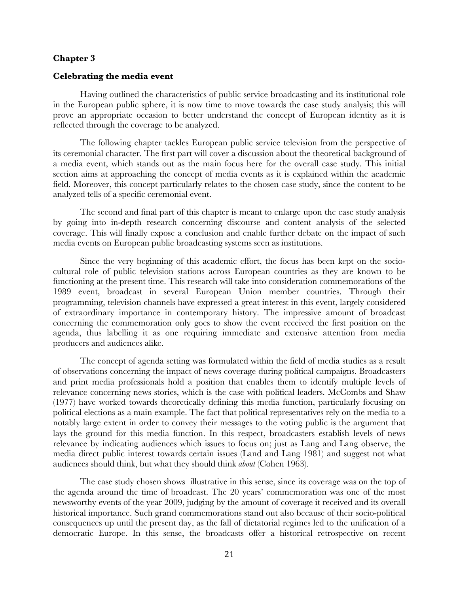# **Chapter 3**

#### **Celebrating the media event**

Having outlined the characteristics of public service broadcasting and its institutional role in the European public sphere, it is now time to move towards the case study analysis; this will prove an appropriate occasion to better understand the concept of European identity as it is reflected through the coverage to be analyzed.

The following chapter tackles European public service television from the perspective of its ceremonial character. The first part will cover a discussion about the theoretical background of a media event, which stands out as the main focus here for the overall case study. This initial section aims at approaching the concept of media events as it is explained within the academic field. Moreover, this concept particularly relates to the chosen case study, since the content to be analyzed tells of a specific ceremonial event.

The second and final part of this chapter is meant to enlarge upon the case study analysis by going into in-depth research concerning discourse and content analysis of the selected coverage. This will finally expose a conclusion and enable further debate on the impact of such media events on European public broadcasting systems seen as institutions.

Since the very beginning of this academic effort, the focus has been kept on the sociocultural role of public television stations across European countries as they are known to be functioning at the present time. This research will take into consideration commemorations of the 1989 event, broadcast in several European Union member countries. Through their programming, television channels have expressed a great interest in this event, largely considered of extraordinary importance in contemporary history. The impressive amount of broadcast concerning the commemoration only goes to show the event received the first position on the agenda, thus labelling it as one requiring immediate and extensive attention from media producers and audiences alike.

The concept of agenda setting was formulated within the field of media studies as a result of observations concerning the impact of news coverage during political campaigns. Broadcasters and print media professionals hold a position that enables them to identify multiple levels of relevance concerning news stories, which is the case with political leaders. McCombs and Shaw (1977) have worked towards theoretically defining this media function, particularly focusing on political elections as a main example. The fact that political representatives rely on the media to a notably large extent in order to convey their messages to the voting public is the argument that lays the ground for this media function. In this respect, broadcasters establish levels of news relevance by indicating audiences which issues to focus on; just as Lang and Lang observe, the media direct public interest towards certain issues (Land and Lang 1981) and suggest not what audiences should think, but what they should think *about* (Cohen 1963).

The case study chosen shows illustrative in this sense, since its coverage was on the top of the agenda around the time of broadcast. The 20 years' commemoration was one of the most newsworthy events of the year 2009, judging by the amount of coverage it received and its overall historical importance. Such grand commemorations stand out also because of their socio-political consequences up until the present day, as the fall of dictatorial regimes led to the unification of a democratic Europe. In this sense, the broadcasts offer a historical retrospective on recent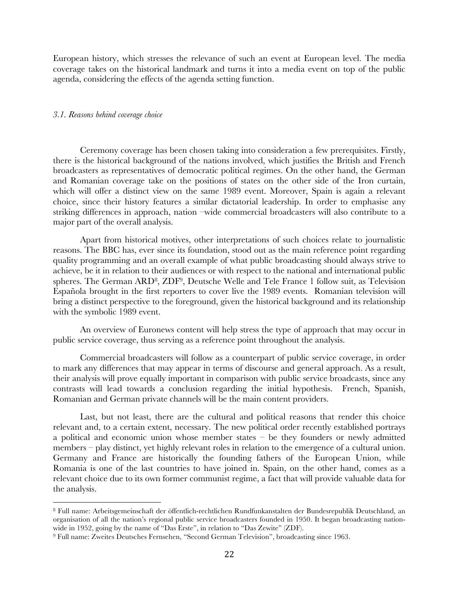European history, which stresses the relevance of such an event at European level. The media coverage takes on the historical landmark and turns it into a media event on top of the public agenda, considering the effects of the agenda setting function.

# *3.1. Reasons behind coverage choice*

Ceremony coverage has been chosen taking into consideration a few prerequisites. Firstly, there is the historical background of the nations involved, which justifies the British and French broadcasters as representatives of democratic political regimes. On the other hand, the German and Romanian coverage take on the positions of states on the other side of the Iron curtain, which will offer a distinct view on the same 1989 event. Moreover, Spain is again a relevant choice, since their history features a similar dictatorial leadership. In order to emphasise any striking differences in approach, nation –wide commercial broadcasters will also contribute to a major part of the overall analysis.

Apart from historical motives, other interpretations of such choices relate to journalistic reasons. The BBC has, ever since its foundation, stood out as the main reference point regarding quality programming and an overall example of what public broadcasting should always strive to achieve, be it in relation to their audiences or with respect to the national and international public spheres. The German ARD8, ZDF9, Deutsche Welle and Tele France 1 follow suit, as Television Española brought in the first reporters to cover live the 1989 events. Romanian television will bring a distinct perspective to the foreground, given the historical background and its relationship with the symbolic 1989 event.

An overview of Euronews content will help stress the type of approach that may occur in public service coverage, thus serving as a reference point throughout the analysis.

Commercial broadcasters will follow as a counterpart of public service coverage, in order to mark any differences that may appear in terms of discourse and general approach. As a result, their analysis will prove equally important in comparison with public service broadcasts, since any contrasts will lead towards a conclusion regarding the initial hypothesis. French, Spanish, Romanian and German private channels will be the main content providers.

Last, but not least, there are the cultural and political reasons that render this choice relevant and, to a certain extent, necessary. The new political order recently established portrays a political and economic union whose member states – be they founders or newly admitted members – play distinct, yet highly relevant roles in relation to the emergence of a cultural union. Germany and France are historically the founding fathers of the European Union, while Romania is one of the last countries to have joined in. Spain, on the other hand, comes as a relevant choice due to its own former communist regime, a fact that will provide valuable data for the analysis.

<sup>8</sup> Full name: Arbeitsgemeinschaft der öffentlich-rechtlichen Rundfunkanstalten der Bundesrepublik Deutschland, an organisation of all the nation's regional public service broadcasters founded in 1950. It began broadcasting nationwide in 1952, going by the name of "Das Erste", in relation to "Das Zewite" (ZDF).

<sup>9</sup> Full name: Zweites Deutsches Fernsehen, "Second German Television", broadcasting since 1963.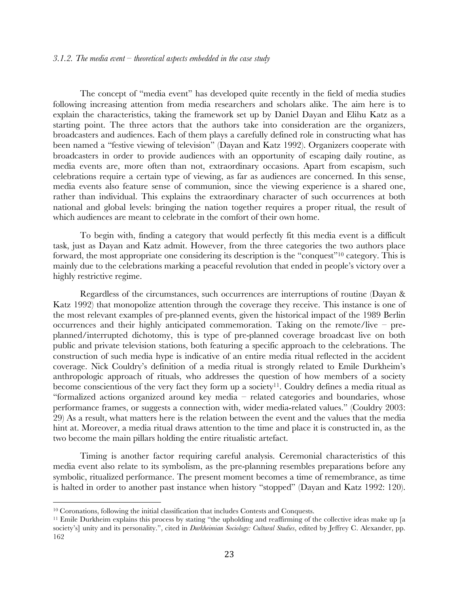The concept of "media event" has developed quite recently in the field of media studies following increasing attention from media researchers and scholars alike. The aim here is to explain the characteristics, taking the framework set up by Daniel Dayan and Elihu Katz as a starting point. The three actors that the authors take into consideration are the organizers, broadcasters and audiences. Each of them plays a carefully defined role in constructing what has been named a "festive viewing of television" (Dayan and Katz 1992). Organizers cooperate with broadcasters in order to provide audiences with an opportunity of escaping daily routine, as media events are, more often than not, extraordinary occasions. Apart from escapism, such celebrations require a certain type of viewing, as far as audiences are concerned. In this sense, media events also feature sense of communion, since the viewing experience is a shared one, rather than individual. This explains the extraordinary character of such occurrences at both national and global levels: bringing the nation together requires a proper ritual, the result of which audiences are meant to celebrate in the comfort of their own home.

To begin with, finding a category that would perfectly fit this media event is a difficult task, just as Dayan and Katz admit. However, from the three categories the two authors place forward, the most appropriate one considering its description is the "conquest"10 category. This is mainly due to the celebrations marking a peaceful revolution that ended in people's victory over a highly restrictive regime.

Regardless of the circumstances, such occurrences are interruptions of routine (Dayan & Katz 1992) that monopolize attention through the coverage they receive. This instance is one of the most relevant examples of pre-planned events, given the historical impact of the 1989 Berlin occurrences and their highly anticipated commemoration. Taking on the remote/live – preplanned/interrupted dichotomy, this is type of pre-planned coverage broadcast live on both public and private television stations, both featuring a specific approach to the celebrations. The construction of such media hype is indicative of an entire media ritual reflected in the accident coverage. Nick Couldry's definition of a media ritual is strongly related to Emile Durkheim's anthropologic approach of rituals, who addresses the question of how members of a society become conscientious of the very fact they form up a society<sup>11</sup>. Couldry defines a media ritual as "formalized actions organized around key media – related categories and boundaries, whose performance frames, or suggests a connection with, wider media-related values." (Couldry 2003: 29) As a result, what matters here is the relation between the event and the values that the media hint at. Moreover, a media ritual draws attention to the time and place it is constructed in, as the two become the main pillars holding the entire ritualistic artefact.

Timing is another factor requiring careful analysis. Ceremonial characteristics of this media event also relate to its symbolism, as the pre-planning resembles preparations before any symbolic, ritualized performance. The present moment becomes a time of remembrance, as time is halted in order to another past instance when history "stopped" (Dayan and Katz 1992: 120).

<sup>10</sup> Coronations, following the initial classification that includes Contests and Conquests.

<sup>&</sup>lt;sup>11</sup> Emile Durkheim explains this process by stating "the upholding and reaffirming of the collective ideas make up [a society's] unity and its personality.", cited in *Durkheimian Sociology: Cultural Studies*, edited by Jeffrey C. Alexander, pp. 162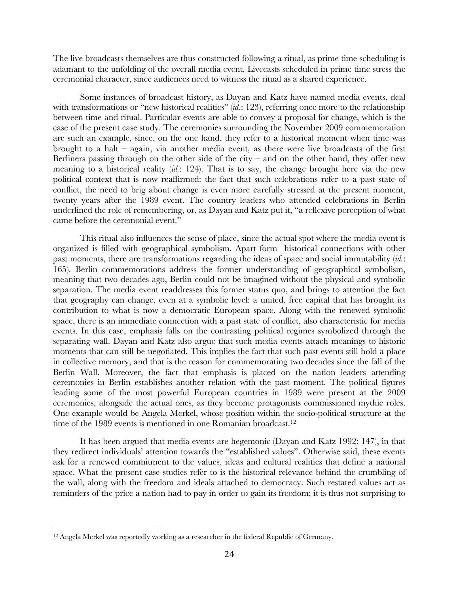The live broadcasts themselves are thus constructed following a ritual, as prime time scheduling is adamant to the unfolding of the overall media event. Livecasts scheduled in prime time stress the ceremonial character, since audiences need to witness the ritual as a shared experience.

Some instances of broadcast history, as Dayan and Katz have named media events, deal with transformations or "new historical realities" (*id.*: 123), referring once more to the relationship between time and ritual. Particular events are able to convey a proposal for change, which is the case of the present case study. The ceremonies surrounding the November 2009 commemoration are such an example, since, on the one hand, they refer to a historical moment when time was brought to a halt – again, via another media event, as there were live broadcasts of the first Berliners passing through on the other side of the city – and on the other hand, they offer new meaning to a historical reality (*id.*: 124). That is to say, the change brought here via the new political context that is now reaffirmed: the fact that such celebrations refer to a past state of conflict, the need to brig about change is even more carefully stressed at the present moment, twenty years after the 1989 event. The country leaders who attended celebrations in Berlin underlined the role of remembering, or, as Dayan and Katz put it, "a reflexive perception of what came before the ceremonial event."

This ritual also influences the sense of place, since the actual spot where the media event is organized is filled with geographical symbolism. Apart form historical connections with other past moments, there are transformations regarding the ideas of space and social immutability (*id.*: 165). Berlin commemorations address the former understanding of geographical symbolism, meaning that two decades ago, Berlin could not be imagined without the physical and symbolic separation. The media event readdresses this former status quo, and brings to attention the fact that geography can change, even at a symbolic level: a united, free capital that has brought its contribution to what is now a democratic European space. Along with the renewed symbolic space, there is an immediate connection with a past state of conflict, also characteristic for media events. In this case, emphasis falls on the contrasting political regimes symbolized through the separating wall. Dayan and Katz also argue that such media events attach meanings to historic moments that can still be negotiated. This implies the fact that such past events still hold a place in collective memory, and that is the reason for commemorating two decades since the fall of the Berlin Wall. Moreover, the fact that emphasis is placed on the nation leaders attending ceremonies in Berlin establishes another relation with the past moment. The political figures leading some of the most powerful European countries in 1989 were present at the 2009 ceremonies, alongside the actual ones, as they become protagonists commissioned mythic roles. One example would be Angela Merkel, whose position within the socio-political structure at the time of the 1989 events is mentioned in one Romanian broadcast.<sup>12</sup>

It has been argued that media events are hegemonic (Dayan and Katz 1992: 147), in that they redirect individuals' attention towards the "established values". Otherwise said, these events ask for a renewed commitment to the values, ideas and cultural realities that define a national space. What the present case studies refer to is the historical relevance behind the crumbling of the wall, along with the freedom and ideals attached to democracy. Such restated values act as reminders of the price a nation had to pay in order to gain its freedom; it is thus not surprising to

<sup>&</sup>lt;sup>12</sup> Angela Merkel was reportedly working as a researcher in the federal Republic of Germany.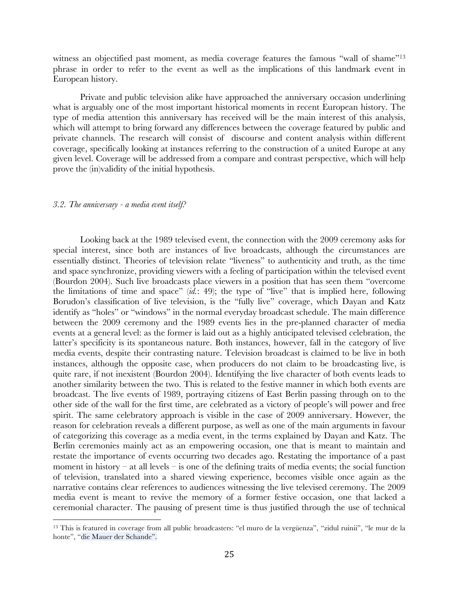witness an objectified past moment, as media coverage features the famous "wall of shame"<sup>13</sup> phrase in order to refer to the event as well as the implications of this landmark event in European history.

Private and public television alike have approached the anniversary occasion underlining what is arguably one of the most important historical moments in recent European history. The type of media attention this anniversary has received will be the main interest of this analysis, which will attempt to bring forward any differences between the coverage featured by public and private channels. The research will consist of discourse and content analysis within different coverage, specifically looking at instances referring to the construction of a united Europe at any given level. Coverage will be addressed from a compare and contrast perspective, which will help prove the (in)validity of the initial hypothesis.

# *3.2. The anniversary - a media event itself?*

Looking back at the 1989 televised event, the connection with the 2009 ceremony asks for special interest, since both are instances of live broadcasts, although the circumstances are essentially distinct. Theories of television relate "liveness" to authenticity and truth, as the time and space synchronize, providing viewers with a feeling of participation within the televised event (Bourdon 2004). Such live broadcasts place viewers in a position that has seen them "overcome the limitations of time and space" (*id.*: 49); the type of "live" that is implied here, following Borudon's classification of live television, is the "fully live" coverage, which Dayan and Katz identify as "holes" or "windows" in the normal everyday broadcast schedule. The main difference between the 2009 ceremony and the 1989 events lies in the pre-planned character of media events at a general level: as the former is laid out as a highly anticipated televised celebration, the latter's specificity is its spontaneous nature. Both instances, however, fall in the category of live media events, despite their contrasting nature. Television broadcast is claimed to be live in both instances, although the opposite case, when producers do not claim to be broadcasting live, is quite rare, if not inexistent (Bourdon 2004). Identifying the live character of both events leads to another similarity between the two. This is related to the festive manner in which both events are broadcast. The live events of 1989, portraying citizens of East Berlin passing through on to the other side of the wall for the first time, are celebrated as a victory of people's will power and free spirit. The same celebratory approach is visible in the case of 2009 anniversary. However, the reason for celebration reveals a different purpose, as well as one of the main arguments in favour of categorizing this coverage as a media event, in the terms explained by Dayan and Katz. The Berlin ceremonies mainly act as an empowering occasion, one that is meant to maintain and restate the importance of events occurring two decades ago. Restating the importance of a past moment in history – at all levels – is one of the defining traits of media events; the social function of television, translated into a shared viewing experience, becomes visible once again as the narrative contains clear references to audiences witnessing the live televised ceremony. The 2009 media event is meant to revive the memory of a former festive occasion, one that lacked a ceremonial character. The pausing of present time is thus justified through the use of technical

<sup>&</sup>lt;sup>13</sup> This is featured in coverage from all public broadcasters: "el muro de la vergüenza", "zidul ruinii", "le mur de la honte", "die Mauer der Schande".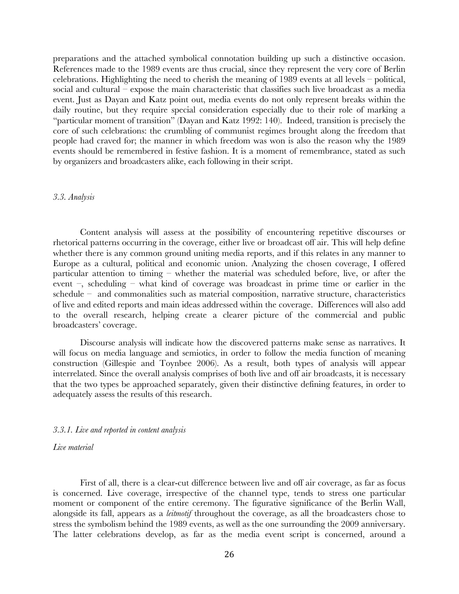preparations and the attached symbolical connotation building up such a distinctive occasion. References made to the 1989 events are thus crucial, since they represent the very core of Berlin celebrations. Highlighting the need to cherish the meaning of 1989 events at all levels – political, social and cultural – expose the main characteristic that classifies such live broadcast as a media event. Just as Dayan and Katz point out, media events do not only represent breaks within the daily routine, but they require special consideration especially due to their role of marking a "particular moment of transition" (Dayan and Katz 1992: 140). Indeed, transition is precisely the core of such celebrations: the crumbling of communist regimes brought along the freedom that people had craved for; the manner in which freedom was won is also the reason why the 1989 events should be remembered in festive fashion. It is a moment of remembrance, stated as such by organizers and broadcasters alike, each following in their script.

#### *3.3. Analysis*

Content analysis will assess at the possibility of encountering repetitive discourses or rhetorical patterns occurring in the coverage, either live or broadcast off air. This will help define whether there is any common ground uniting media reports, and if this relates in any manner to Europe as a cultural, political and economic union. Analyzing the chosen coverage, I offered particular attention to timing – whether the material was scheduled before, live, or after the event –, scheduling – what kind of coverage was broadcast in prime time or earlier in the schedule – and commonalities such as material composition, narrative structure, characteristics of live and edited reports and main ideas addressed within the coverage. Differences will also add to the overall research, helping create a clearer picture of the commercial and public broadcasters' coverage.

Discourse analysis will indicate how the discovered patterns make sense as narratives. It will focus on media language and semiotics, in order to follow the media function of meaning construction (Gillespie and Toynbee 2006). As a result, both types of analysis will appear interrelated. Since the overall analysis comprises of both live and off air broadcasts, it is necessary that the two types be approached separately, given their distinctive defining features, in order to adequately assess the results of this research.

# *3.3.1. Live and reported in content analysis*

# *Live material*

First of all, there is a clear-cut difference between live and off air coverage, as far as focus is concerned. Live coverage, irrespective of the channel type, tends to stress one particular moment or component of the entire ceremony. The figurative significance of the Berlin Wall, alongside its fall, appears as a *leitmotif* throughout the coverage, as all the broadcasters chose to stress the symbolism behind the 1989 events, as well as the one surrounding the 2009 anniversary. The latter celebrations develop, as far as the media event script is concerned, around a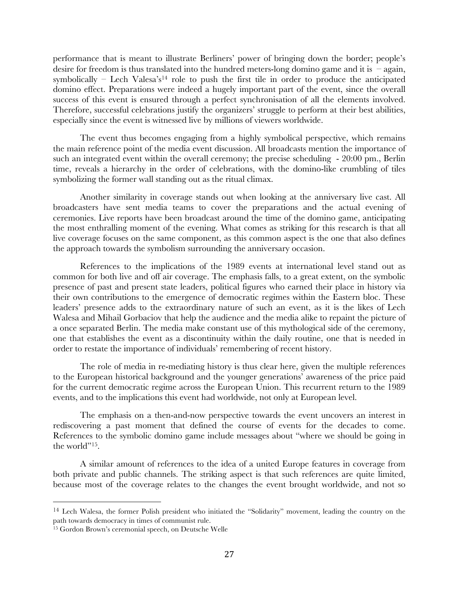performance that is meant to illustrate Berliners' power of bringing down the border; people's desire for freedom is thus translated into the hundred meters-long domino game and it is  $-$ again, symbolically – Lech Valesa's<sup>14</sup> role to push the first tile in order to produce the anticipated domino effect. Preparations were indeed a hugely important part of the event, since the overall success of this event is ensured through a perfect synchronisation of all the elements involved. Therefore, successful celebrations justify the organizers' struggle to perform at their best abilities, especially since the event is witnessed live by millions of viewers worldwide.

The event thus becomes engaging from a highly symbolical perspective, which remains the main reference point of the media event discussion. All broadcasts mention the importance of such an integrated event within the overall ceremony; the precise scheduling - 20:00 pm., Berlin time, reveals a hierarchy in the order of celebrations, with the domino-like crumbling of tiles symbolizing the former wall standing out as the ritual climax.

Another similarity in coverage stands out when looking at the anniversary live cast. All broadcasters have sent media teams to cover the preparations and the actual evening of ceremonies. Live reports have been broadcast around the time of the domino game, anticipating the most enthralling moment of the evening. What comes as striking for this research is that all live coverage focuses on the same component, as this common aspect is the one that also defines the approach towards the symbolism surrounding the anniversary occasion.

References to the implications of the 1989 events at international level stand out as common for both live and off air coverage. The emphasis falls, to a great extent, on the symbolic presence of past and present state leaders, political figures who earned their place in history via their own contributions to the emergence of democratic regimes within the Eastern bloc. These leaders' presence adds to the extraordinary nature of such an event, as it is the likes of Lech Walesa and Mihail Gorbaciov that help the audience and the media alike to repaint the picture of a once separated Berlin. The media make constant use of this mythological side of the ceremony, one that establishes the event as a discontinuity within the daily routine, one that is needed in order to restate the importance of individuals' remembering of recent history.

The role of media in re-mediating history is thus clear here, given the multiple references to the European historical background and the younger generations' awareness of the price paid for the current democratic regime across the European Union. This recurrent return to the 1989 events, and to the implications this event had worldwide, not only at European level.

The emphasis on a then-and-now perspective towards the event uncovers an interest in rediscovering a past moment that defined the course of events for the decades to come. References to the symbolic domino game include messages about "where we should be going in the world"<sup>15</sup>.

A similar amount of references to the idea of a united Europe features in coverage from both private and public channels. The striking aspect is that such references are quite limited, because most of the coverage relates to the changes the event brought worldwide, and not so

<sup>&</sup>lt;sup>14</sup> Lech Walesa, the former Polish president who initiated the "Solidarity" movement, leading the country on the path towards democracy in times of communist rule.

<sup>15</sup> Gordon Brown's ceremonial speech, on Deutsche Welle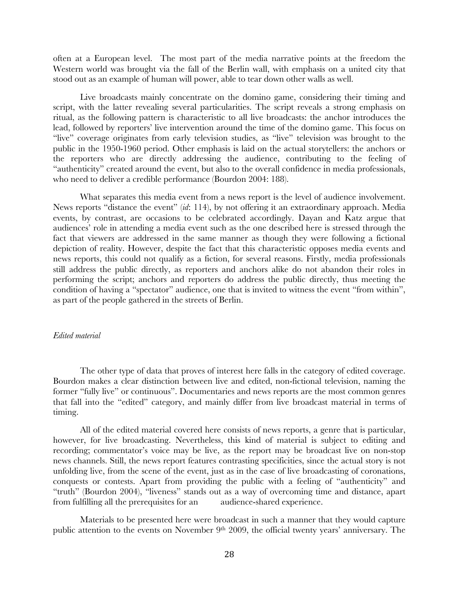often at a European level. The most part of the media narrative points at the freedom the Western world was brought via the fall of the Berlin wall, with emphasis on a united city that stood out as an example of human will power, able to tear down other walls as well.

Live broadcasts mainly concentrate on the domino game, considering their timing and script, with the latter revealing several particularities. The script reveals a strong emphasis on ritual, as the following pattern is characteristic to all live broadcasts: the anchor introduces the lead, followed by reporters' live intervention around the time of the domino game. This focus on "live" coverage originates from early television studies, as "live" television was brought to the public in the 1950-1960 period. Other emphasis is laid on the actual storytellers: the anchors or the reporters who are directly addressing the audience, contributing to the feeling of "authenticity" created around the event, but also to the overall confidence in media professionals, who need to deliver a credible performance (Bourdon 2004: 188).

What separates this media event from a news report is the level of audience involvement. News reports "distance the event" (*id*: 114), by not offering it an extraordinary approach. Media events, by contrast, are occasions to be celebrated accordingly. Dayan and Katz argue that audiences' role in attending a media event such as the one described here is stressed through the fact that viewers are addressed in the same manner as though they were following a fictional depiction of reality. However, despite the fact that this characteristic opposes media events and news reports, this could not qualify as a fiction, for several reasons. Firstly, media professionals still address the public directly, as reporters and anchors alike do not abandon their roles in performing the script; anchors and reporters do address the public directly, thus meeting the condition of having a "spectator" audience, one that is invited to witness the event "from within", as part of the people gathered in the streets of Berlin.

# *Edited material*

The other type of data that proves of interest here falls in the category of edited coverage. Bourdon makes a clear distinction between live and edited, non-fictional television, naming the former "fully live" or continuous". Documentaries and news reports are the most common genres that fall into the "edited" category, and mainly differ from live broadcast material in terms of timing.

All of the edited material covered here consists of news reports, a genre that is particular, however, for live broadcasting. Nevertheless, this kind of material is subject to editing and recording; commentator's voice may be live, as the report may be broadcast live on non-stop news channels. Still, the news report features contrasting specificities, since the actual story is not unfolding live, from the scene of the event, just as in the case of live broadcasting of coronations, conquests or contests. Apart from providing the public with a feeling of "authenticity" and "truth" (Bourdon 2004), "liveness" stands out as a way of overcoming time and distance, apart from fulfilling all the prerequisites for an audience-shared experience.

Materials to be presented here were broadcast in such a manner that they would capture public attention to the events on November 9<sup>th</sup> 2009, the official twenty years' anniversary. The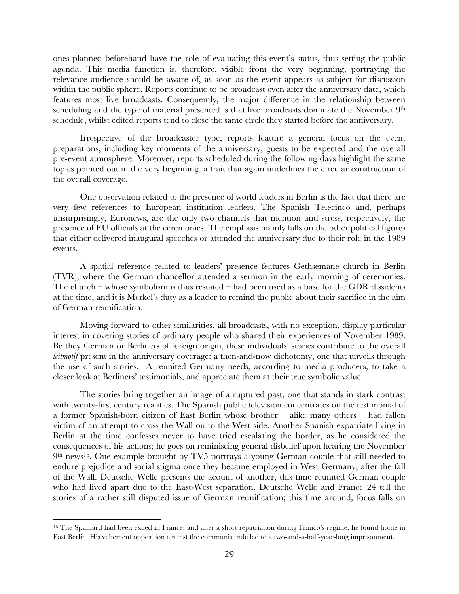ones planned beforehand have the role of evaluating this event's status, thus setting the public agenda. This media function is, therefore, visible from the very beginning, portraying the relevance audience should be aware of, as soon as the event appears as subject for discussion within the public sphere. Reports continue to be broadcast even after the anniversary date, which features most live broadcasts. Consequently, the major difference in the relationship between scheduling and the type of material presented is that live broadcasts dominate the November 9<sup>th</sup> schedule, whilst edited reports tend to close the same circle they started before the anniversary.

Irrespective of the broadcaster type, reports feature a general focus on the event preparations, including key moments of the anniversary, guests to be expected and the overall pre-event atmosphere. Moreover, reports scheduled during the following days highlight the same topics pointed out in the very beginning, a trait that again underlines the circular construction of the overall coverage.

One observation related to the presence of world leaders in Berlin is the fact that there are very few references to European institution leaders. The Spanish Telecinco and, perhaps unsurprisingly, Euronews, are the only two channels that mention and stress, respectively, the presence of EU officials at the ceremonies. The emphasis mainly falls on the other political figures that either delivered inaugural speeches or attended the anniversary due to their role in the 1989 events.

A spatial reference related to leaders' presence features Gethsemane church in Berlin (TVR), where the German chancellor attended a sermon in the early morning of ceremonies. The church – whose symbolism is thus restated – had been used as a base for the GDR dissidents at the time, and it is Merkel's duty as a leader to remind the public about their sacrifice in the aim of German reunification.

Moving forward to other similarities, all broadcasts, with no exception, display particular interest in covering stories of ordinary people who shared their experiences of November 1989. Be they German or Berliners of foreign origin, these individuals' stories contribute to the overall *leitmotif* present in the anniversary coverage: a then-and-now dichotomy, one that unveils through the use of such stories. A reunited Germany needs, according to media producers, to take a closer look at Berliners' testimonials, and appreciate them at their true symbolic value.

The stories bring together an image of a ruptured past, one that stands in stark contrast with twenty-first century realities. The Spanish public television concentrates on the testimonial of a former Spanish-born citizen of East Berlin whose brother – alike many others – had fallen victim of an attempt to cross the Wall on to the West side. Another Spanish expatriate living in Berlin at the time confesses never to have tried escalating the border, as he considered the consequences of his actions; he goes on reminiscing general disbelief upon hearing the November 9th news16. One example brought by TV5 portrays a young German couple that still needed to endure prejudice and social stigma once they became employed in West Germany, after the fall of the Wall. Deutsche Welle presents the acount of another, this time reunited German couple who had lived apart due to the East-West separation. Deutsche Welle and France 24 tell the stories of a rather still disputed issue of German reunification; this time around, focus falls on

<sup>16</sup> The Spaniard had been exiled in France, and after a short repatriation during Franco's regime, he found home in East Berlin. His vehement opposition against the communist rule led to a two-and-a-half-year-long imprisonment.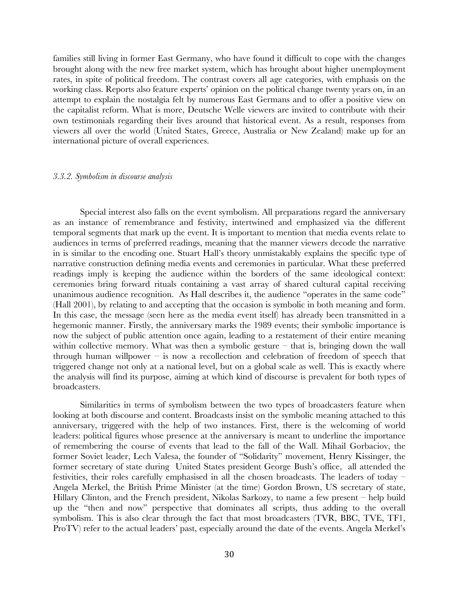families still living in former East Germany, who have found it difficult to cope with the changes brought along with the new free market system, which has brought about higher unemployment rates, in spite of political freedom. The contrast covers all age categories, with emphasis on the working class. Reports also feature experts' opinion on the political change twenty years on, in an attempt to explain the nostalgia felt by numerous East Germans and to offer a positive view on the capitalist reform. What is more, Deutsche Welle viewers are invited to contribute with their own testimonials regarding their lives around that historical event. As a result, responses from viewers all over the world (United States, Greece, Australia or New Zealand) make up for an international picture of overall experiences.

#### *3.3.2. Symbolism in discourse analysis*

Special interest also falls on the event symbolism. All preparations regard the anniversary as an instance of remembrance and festivity, intertwined and emphasized via the different temporal segments that mark up the event. It is important to mention that media events relate to audiences in terms of preferred readings, meaning that the manner viewers decode the narrative in is similar to the encoding one. Stuart Hall's theory unmistakably explains the specific type of narrative construction defining media events and ceremonies in particular. What these preferred readings imply is keeping the audience within the borders of the same ideological context: ceremonies bring forward rituals containing a vast array of shared cultural capital receiving unanimous audience recognition. As Hall describes it, the audience "operates in the same code" (Hall 2001), by relating to and accepting that the occasion is symbolic in both meaning and form. In this case, the message (seen here as the media event itself) has already been transmitted in a hegemonic manner. Firstly, the anniversary marks the 1989 events; their symbolic importance is now the subject of public attention once again, leading to a restatement of their entire meaning within collective memory. What was then a symbolic gesture  $-$  that is, bringing down the wall through human willpower – is now a recollection and celebration of freedom of speech that triggered change not only at a national level, but on a global scale as well. This is exactly where the analysis will find its purpose, aiming at which kind of discourse is prevalent for both types of broadcasters.

Similarities in terms of symbolism between the two types of broadcasters feature when looking at both discourse and content. Broadcasts insist on the symbolic meaning attached to this anniversary, triggered with the help of two instances. First, there is the welcoming of world leaders: political figures whose presence at the anniversary is meant to underline the importance of remembering the course of events that lead to the fall of the Wall. Mihail Gorbaciov, the former Soviet leader, Lech Valesa, the founder of "Solidarity" movement, Henry Kissinger, the former secretary of state during United States president George Bush's office, all attended the festivities, their roles carefully emphasised in all the chosen broadcasts. The leaders of today – Angela Merkel, the British Prime Minister (at the time) Gordon Brown, US secretary of state, Hillary Clinton, and the French president, Nikolas Sarkozy, to name a few present – help build up the "then and now" perspective that dominates all scripts, thus adding to the overall symbolism. This is also clear through the fact that most broadcasters (TVR, BBC, TVE, TF1, ProTV) refer to the actual leaders' past, especially around the date of the events. Angela Merkel's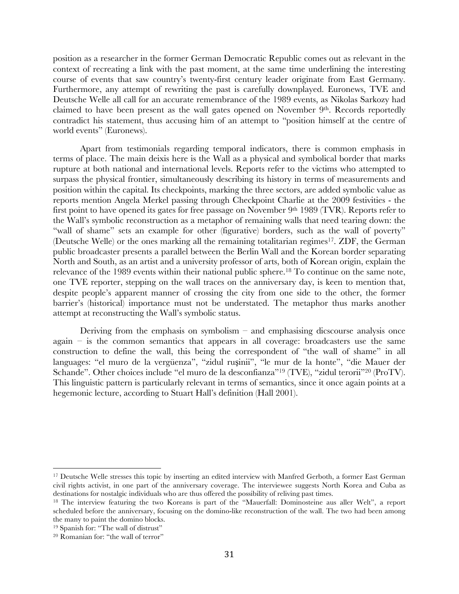position as a researcher in the former German Democratic Republic comes out as relevant in the context of recreating a link with the past moment, at the same time underlining the interesting course of events that saw country's twenty-first century leader originate from East Germany. Furthermore, any attempt of rewriting the past is carefully downplayed. Euronews, TVE and Deutsche Welle all call for an accurate remembrance of the 1989 events, as Nikolas Sarkozy had claimed to have been present as the wall gates opened on November 9<sup>th</sup>. Records reportedly contradict his statement, thus accusing him of an attempt to "position himself at the centre of world events" (Euronews).

Apart from testimonials regarding temporal indicators, there is common emphasis in terms of place. The main deixis here is the Wall as a physical and symbolical border that marks rupture at both national and international levels. Reports refer to the victims who attempted to surpass the physical frontier, simultaneously describing its history in terms of measurements and position within the capital. Its checkpoints, marking the three sectors, are added symbolic value as reports mention Angela Merkel passing through Checkpoint Charlie at the 2009 festivities - the first point to have opened its gates for free passage on November 9<sup>th</sup> 1989 (TVR). Reports refer to the Wall's symbolic reconstruction as a metaphor of remaining walls that need tearing down: the "wall of shame" sets an example for other (figurative) borders, such as the wall of poverty" (Deutsche Welle) or the ones marking all the remaining totalitarian regimes<sup>17</sup>. ZDF, the German public broadcaster presents a parallel between the Berlin Wall and the Korean border separating North and South, as an artist and a university professor of arts, both of Korean origin, explain the relevance of the 1989 events within their national public sphere. <sup>18</sup> To continue on the same note, one TVE reporter, stepping on the wall traces on the anniversary day, is keen to mention that, despite people's apparent manner of crossing the city from one side to the other, the former barrier's (historical) importance must not be understated. The metaphor thus marks another attempt at reconstructing the Wall's symbolic status.

Deriving from the emphasis on symbolism  $-$  and emphasising dicscourse analysis once  $a$ gain – is the common semantics that appears in all coverage: broadcasters use the same construction to define the wall, this being the correspondent of "the wall of shame" in all languages: "el muro de la vergüenza", "zidul ruşinii", "le mur de la honte", "die Mauer der Schande". Other choices include "el muro de la desconfianza"19 (TVE), "zidul terorii"20 (ProTV). This linguistic pattern is particularly relevant in terms of semantics, since it once again points at a hegemonic lecture, according to Stuart Hall's definition (Hall 2001).

<sup>&</sup>lt;sup>17</sup> Deutsche Welle stresses this topic by inserting an edited interview with Manfred Gerboth, a former East German civil rights activist, in one part of the anniversary coverage. The interviewee suggests North Korea and Cuba as destinations for nostalgic individuals who are thus offered the possibility of reliving past times.

<sup>18</sup> The interview featuring the two Koreans is part of the "Mauerfall: Dominosteine aus aller Welt", a report scheduled before the anniversary, focusing on the domino-like reconstruction of the wall. The two had been among the many to paint the domino blocks.

<sup>&</sup>lt;sup>19</sup> Spanish for: "The wall of distrust"

<sup>20</sup> Romanian for: "the wall of terror"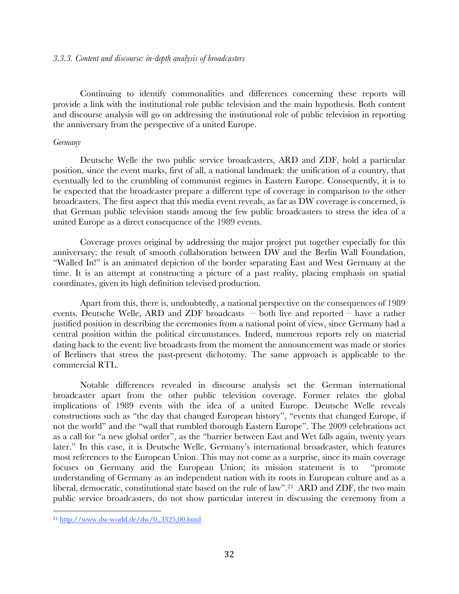Continuing to identify commonalities and differences concerning these reports will provide a link with the institutional role public television and the main hypothesis. Both content and discourse analysis will go on addressing the institutional role of public television in reporting the anniversary from the perspective of a united Europe.

# *Germany*

Deutsche Welle the two public service broadcasters, ARD and ZDF, hold a particular position, since the event marks, first of all, a national landmark: the unification of a country, that eventually led to the crumbling of communist regimes in Eastern Europe. Consequently, it is to be expected that the broadcaster prepare a different type of coverage in comparison to the other broadcasters. The first aspect that this media event reveals, as far as DW coverage is concerned, is that German public television stands among the few public broadcasters to stress the idea of a united Europe as a direct consequence of the 1989 events.

Coverage proves original by addressing the major project put together especially for this anniversary: the result of smooth collaboration between DW and the Berlin Wall Foundation, "Walled In!" is an animated depiction of the border separating East and West Germany at the time. It is an attempt at constructing a picture of a past reality, placing emphasis on spatial coordinates, given its high definition televised production.

Apart from this, there is, undoubtedly, a national perspective on the consequences of 1989 events. Deutsche Welle, ARD and ZDF broadcasts – both live and reported – have a rather justified position in describing the ceremonies from a national point of view, since Germany had a central position within the political circumstances. Indeed, numerous reports rely on material dating back to the event: live broadcasts from the moment the announcement was made or stories of Berliners that stress the past-present dichotomy. The same approach is applicable to the commercial RTL.

Notable differences revealed in discourse analysis set the German international broadcaster apart from the other public television coverage. Former relates the global implications of 1989 events with the idea of a united Europe. Deutsche Welle reveals constructions such as "the day that changed European history", "events that changed Europe, if not the world" and the "wall that rumbled thorough Eastern Europe". The 2009 celebrations act as a call for "a new global order", as the "barrier between East and Wet falls again, twenty years later." In this case, it is Deutsche Welle, Germany's international broadcaster, which features most references to the European Union. This may not come as a surprise, since its main coverage focuses on Germany and the European Union; its mission statement is to "promote understanding of Germany as an independent nation with its roots in European culture and as a liberal, democratic, constitutional state based on the rule of law". <sup>21</sup> ARD and ZDF, the two main public service broadcasters, do not show particular interest in discussing the ceremony from a

<sup>21</sup> http://www.dw-world.de/dw/0,,3325,00.html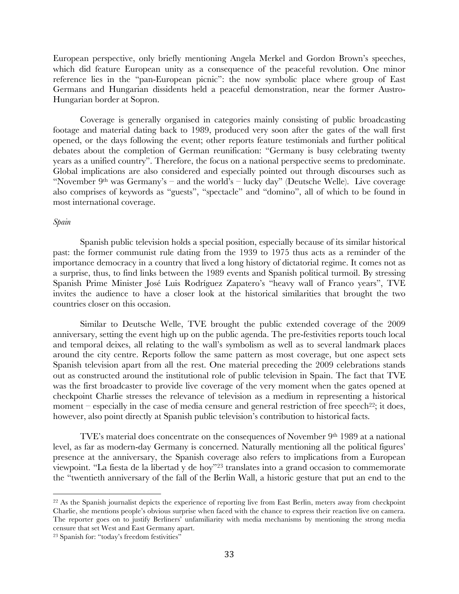European perspective, only briefly mentioning Angela Merkel and Gordon Brown's speeches, which did feature European unity as a consequence of the peaceful revolution. One minor reference lies in the "pan-European picnic": the now symbolic place where group of East Germans and Hungarian dissidents held a peaceful demonstration, near the former Austro-Hungarian border at Sopron.

Coverage is generally organised in categories mainly consisting of public broadcasting footage and material dating back to 1989, produced very soon after the gates of the wall first opened, or the days following the event; other reports feature testimonials and further political debates about the completion of German reunification: "Germany is busy celebrating twenty years as a unified country". Therefore, the focus on a national perspective seems to predominate. Global implications are also considered and especially pointed out through discourses such as "November 9th was Germany's – and the world's – lucky day" (Deutsche Welle). Live coverage also comprises of keywords as "guests", "spectacle" and "domino", all of which to be found in most international coverage.

# *Spain*

Spanish public television holds a special position, especially because of its similar historical past: the former communist rule dating from the 1939 to 1975 thus acts as a reminder of the importance democracy in a country that lived a long history of dictatorial regime. It comes not as a surprise, thus, to find links between the 1989 events and Spanish political turmoil. By stressing Spanish Prime Minister José Luis Rodríguez Zapatero's "heavy wall of Franco years", TVE invites the audience to have a closer look at the historical similarities that brought the two countries closer on this occasion.

Similar to Deutsche Welle, TVE brought the public extended coverage of the 2009 anniversary, setting the event high up on the public agenda. The pre-festivities reports touch local and temporal deixes, all relating to the wall's symbolism as well as to several landmark places around the city centre. Reports follow the same pattern as most coverage, but one aspect sets Spanish television apart from all the rest. One material preceding the 2009 celebrations stands out as constructed around the institutional role of public television in Spain. The fact that TVE was the first broadcaster to provide live coverage of the very moment when the gates opened at checkpoint Charlie stresses the relevance of television as a medium in representing a historical moment – especially in the case of media censure and general restriction of free speech<sup>22</sup>; it does, however, also point directly at Spanish public television's contribution to historical facts.

TVE's material does concentrate on the consequences of November  $9<sup>th</sup>$  1989 at a national level, as far as modern-day Germany is concerned. Naturally mentioning all the political figures' presence at the anniversary, the Spanish coverage also refers to implications from a European viewpoint. "La fiesta de la libertad y de hoy"23 translates into a grand occasion to commemorate the "twentieth anniversary of the fall of the Berlin Wall, a historic gesture that put an end to the

<sup>22</sup> As the Spanish journalist depicts the experience of reporting live from East Berlin, meters away from checkpoint Charlie, she mentions people's obvious surprise when faced with the chance to express their reaction live on camera. The reporter goes on to justify Berliners' unfamiliarity with media mechanisms by mentioning the strong media censure that set West and East Germany apart.

<sup>23</sup> Spanish for: "today's freedom festivities"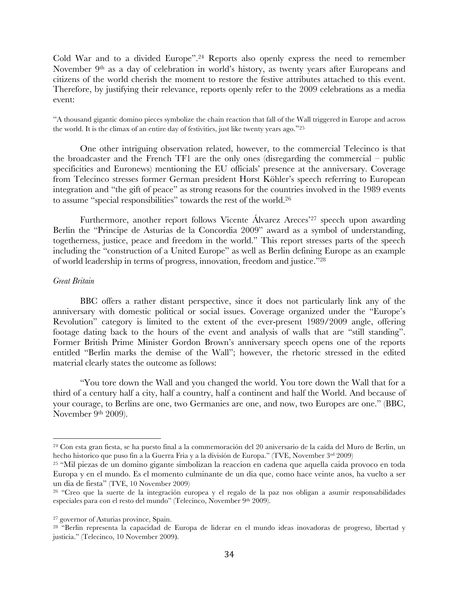Cold War and to a divided Europe". <sup>24</sup> Reports also openly express the need to remember November 9th as a day of celebration in world's history, as twenty years after Europeans and citizens of the world cherish the moment to restore the festive attributes attached to this event. Therefore, by justifying their relevance, reports openly refer to the 2009 celebrations as a media event:

"A thousand gigantic domino pieces symbolize the chain reaction that fall of the Wall triggered in Europe and across the world. It is the climax of an entire day of festivities, just like twenty years ago."25

One other intriguing observation related, however, to the commercial Telecinco is that the broadcaster and the French TF1 are the only ones (disregarding the commercial – public specificities and Euronews) mentioning the EU officials' presence at the anniversary. Coverage from Telecinco stresses former German president Horst Köhler's speech referring to European integration and "the gift of peace" as strong reasons for the countries involved in the 1989 events to assume "special responsibilities" towards the rest of the world.<sup>26</sup>

Furthermore, another report follows Vicente Álvarez Areces' <sup>27</sup> speech upon awarding Berlin the "Principe de Asturias de la Concordia 2009" award as a symbol of understanding, togetherness, justice, peace and freedom in the world." This report stresses parts of the speech including the "construction of a United Europe" as well as Berlin defining Europe as an example of world leadership in terms of progress, innovation, freedom and justice."28

# *Great Britain*

BBC offers a rather distant perspective, since it does not particularly link any of the anniversary with domestic political or social issues. Coverage organized under the "Europe's Revolution" category is limited to the extent of the ever-present 1989/2009 angle, offering footage dating back to the hours of the event and analysis of walls that are "still standing". Former British Prime Minister Gordon Brown's anniversary speech opens one of the reports entitled "Berlin marks the demise of the Wall"; however, the rhetoric stressed in the edited material clearly states the outcome as follows:

"You tore down the Wall and you changed the world. You tore down the Wall that for a third of a century half a city, half a country, half a continent and half the World. And because of your courage, to Berlins are one, two Germanies are one, and now, two Europes are one." (BBC, November 9th 2009).

<sup>24</sup> Con esta gran fiesta, se ha puesto final a la commemoración del 20 aniversario de la caída del Muro de Berlin, un hecho historico que puso fin a la Guerra Fria y a la división de Europa." (TVE, November 3rd 2009)

<sup>25</sup> "Mil piezas de un domino gigante simbolizan la reaccion en cadena que aquella caida provoco en toda Europa y en el mundo. Es el momento culminante de un dia que, como hace veinte anos, ha vuelto a ser un dia de fiesta" (TVE, 10 November 2009)

<sup>26</sup> "Creo que la suerte de la integración europea y el regalo de la paz nos obligan a asumir responsabilidades especiales para con el resto del mundo" (Telecinco, November 9th 2009).

<sup>27</sup> governor of Asturias province, Spain.

<sup>28</sup> "Berlin representa la capacidad de Europa de liderar en el mundo ideas inovadoras de progreso, libertad y justicia." (Telecinco, 10 November 2009).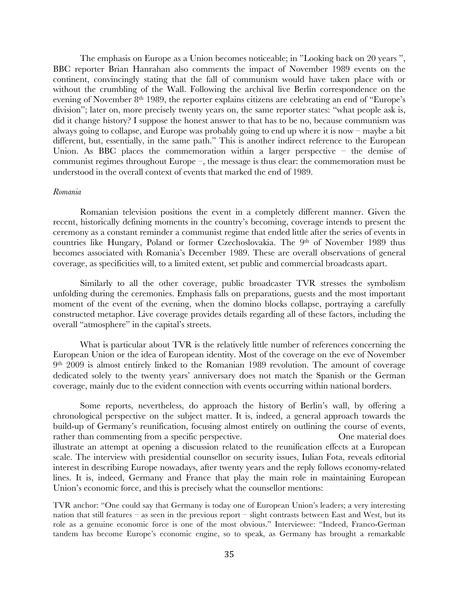The emphasis on Europe as a Union becomes noticeable; in "Looking back on 20 years ", BBC reporter Brian Hanrahan also comments the impact of November 1989 events on the continent, convincingly stating that the fall of communism would have taken place with or without the crumbling of the Wall. Following the archival live Berlin correspondence on the evening of November 8<sup>th</sup> 1989, the reporter explains citizens are celebrating an end of "Europe's division"; later on, more precisely twenty years on, the same reporter states: "what people ask is, did it change history? I suppose the honest answer to that has to be no, because communism was always going to collapse, and Europe was probably going to end up where it is now – maybe a bit different, but, essentially, in the same path." This is another indirect reference to the European Union. As BBC places the commemoration within a larger perspective – the demise of communist regimes throughout Europe –, the message is thus clear: the commemoration must be understood in the overall context of events that marked the end of 1989.

#### *Romania*

Romanian television positions the event in a completely different manner. Given the recent, historically defining moments in the country's becoming, coverage intends to present the ceremony as a constant reminder a communist regime that ended little after the series of events in countries like Hungary, Poland or former Czechoslovakia. The 9<sup>th</sup> of November 1989 thus becomes associated with Romania's December 1989. These are overall observations of general coverage, as specificities will, to a limited extent, set public and commercial broadcasts apart.

Similarly to all the other coverage, public broadcaster TVR stresses the symbolism unfolding during the ceremonies. Emphasis falls on preparations, guests and the most important moment of the event of the evening, when the domino blocks collapse, portraying a carefully constructed metaphor. Live coverage provides details regarding all of these factors, including the overall "atmosphere" in the capital's streets.

What is particular about TVR is the relatively little number of references concerning the European Union or the idea of European identity. Most of the coverage on the eve of November 9th 2009 is almost entirely linked to the Romanian 1989 revolution. The amount of coverage dedicated solely to the twenty years' anniversary does not match the Spanish or the German coverage, mainly due to the evident connection with events occurring within national borders.

Some reports, nevertheless, do approach the history of Berlin's wall, by offering a chronological perspective on the subject matter. It is, indeed, a general approach towards the build-up of Germany's reunification, focusing almost entirely on outlining the course of events, rather than commenting from a specific perspective. One material does illustrate an attempt at opening a discussion related to the reunification effects at a European scale. The interview with presidential counsellor on security issues, Iulian Fota, reveals editorial interest in describing Europe nowadays, after twenty years and the reply follows economy-related lines. It is, indeed, Germany and France that play the main role in maintaining European Union's economic force, and this is precisely what the counsellor mentions:

TVR anchor: "One could say that Germany is today one of European Union's leaders; a very interesting nation that still features – as seen in the previous report – slight contrasts between East and West, but its role as a genuine economic force is one of the most obvious." Interviewee: "Indeed, Franco-German tandem has become Europe's economic engine, so to speak, as Germany has brought a remarkable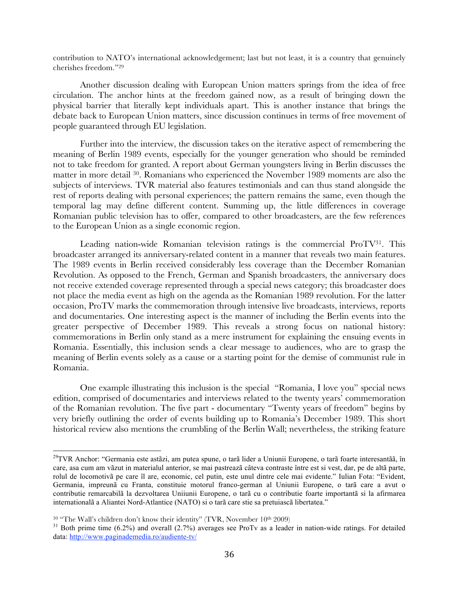contribution to NATO's international acknowledgement; last but not least, it is a country that genuinely cherishes freedom."29

Another discussion dealing with European Union matters springs from the idea of free circulation. The anchor hints at the freedom gained now, as a result of bringing down the physical barrier that literally kept individuals apart. This is another instance that brings the debate back to European Union matters, since discussion continues in terms of free movement of people guaranteed through EU legislation.

Further into the interview, the discussion takes on the iterative aspect of remembering the meaning of Berlin 1989 events, especially for the younger generation who should be reminded not to take freedom for granted. A report about German youngsters living in Berlin discusses the matter in more detail 30. Romanians who experienced the November 1989 moments are also the subjects of interviews. TVR material also features testimonials and can thus stand alongside the rest of reports dealing with personal experiences; the pattern remains the same, even though the temporal lag may define different content. Summing up, the little differences in coverage Romanian public television has to offer, compared to other broadcasters, are the few references to the European Union as a single economic region.

Leading nation-wide Romanian television ratings is the commercial  $\text{ProTV}^{31}$ . This broadcaster arranged its anniversary-related content in a manner that reveals two main features. The 1989 events in Berlin received considerably less coverage than the December Romanian Revolution. As opposed to the French, German and Spanish broadcasters, the anniversary does not receive extended coverage represented through a special news category; this broadcaster does not place the media event as high on the agenda as the Romanian 1989 revolution. For the latter occasion, ProTV marks the commemoration through intensive live broadcasts, interviews, reports and documentaries. One interesting aspect is the manner of including the Berlin events into the greater perspective of December 1989. This reveals a strong focus on national history: commemorations in Berlin only stand as a mere instrument for explaining the ensuing events in Romania. Essentially, this inclusion sends a clear message to audiences, who are to grasp the meaning of Berlin events solely as a cause or a starting point for the demise of communist rule in Romania.

One example illustrating this inclusion is the special "Romania, I love you" special news edition, comprised of documentaries and interviews related to the twenty years' commemoration of the Romanian revolution. The five part - documentary "Twenty years of freedom" begins by very briefly outlining the order of events building up to Romania's December 1989. This short historical review also mentions the crumbling of the Berlin Wall; nevertheless, the striking feature

<sup>&</sup>lt;sup>29</sup>TVR Anchor: "Germania este astãzi, am putea spune, o tarã lider a Uniunii Europene, o tarã foarte interesantãã, în care, asa cum am vãzut in materialul anterior, se mai pastreazã câteva contraste între est si vest, dar, pe de altã parte, rolul de locomotivã pe care îl are, economic, cel putin, este unul dintre cele mai evidente." Iulian Fota: "Evident, Germania, impreunã cu Franta, constituie motorul franco-german al Uniunii Europene, o tarã care a avut o contributie remarcabilã la dezvoltarea Uniiunii Europene, o tarã cu o contributie foarte importantã si la afirmarea internationalã a Aliantei Nord-Atlantice (NATO) si o tarã care stie sa pretuiascã libertatea."

<sup>&</sup>lt;sup>30</sup> "The Wall's children don't know their identity" (TVR, November 10<sup>th</sup> 2009)<br><sup>31</sup> Both prime time (6.2%) and overall (2.7%) averages see ProTv as a leader in nation-wide ratings. For detailed data: http://www.paginademedia.ro/audiente-tv/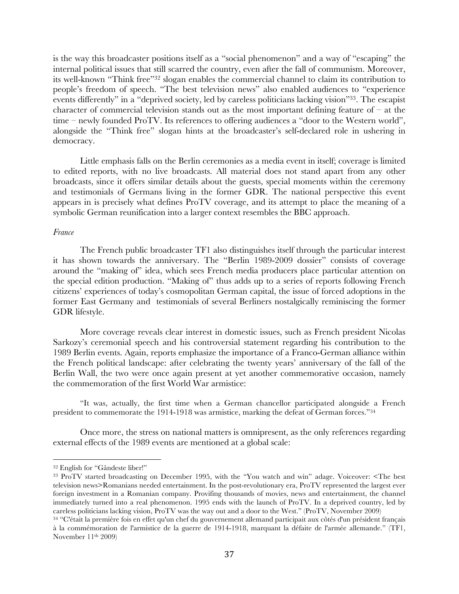is the way this broadcaster positions itself as a "social phenomenon" and a way of "escaping" the internal political issues that still scarred the country, even after the fall of communism. Moreover, its well-known "Think free"32 slogan enables the commercial channel to claim its contribution to people's freedom of speech. "The best television news" also enabled audiences to "experience events differently" in a "deprived society, led by careless politicians lacking vision"33. The escapist character of commercial television stands out as the most important defining feature of  $-$  at the time – newly founded ProTV. Its references to offering audiences a "door to the Western world", alongside the "Think free" slogan hints at the broadcaster's self-declared role in ushering in democracy.

Little emphasis falls on the Berlin ceremonies as a media event in itself; coverage is limited to edited reports, with no live broadcasts. All material does not stand apart from any other broadcasts, since it offers similar details about the guests, special moments within the ceremony and testimonials of Germans living in the former GDR. The national perspective this event appears in is precisely what defines ProTV coverage, and its attempt to place the meaning of a symbolic German reunification into a larger context resembles the BBC approach.

# *France*

The French public broadcaster TF1 also distinguishes itself through the particular interest it has shown towards the anniversary. The "Berlin 1989-2009 dossier" consists of coverage around the "making of" idea, which sees French media producers place particular attention on the special edition production. "Making of" thus adds up to a series of reports following French citizens' experiences of today's cosmopolitan German capital, the issue of forced adoptions in the former East Germany and testimonials of several Berliners nostalgically reminiscing the former GDR lifestyle.

More coverage reveals clear interest in domestic issues, such as French president Nicolas Sarkozy's ceremonial speech and his controversial statement regarding his contribution to the 1989 Berlin events. Again, reports emphasize the importance of a Franco-German alliance within the French political landscape: after celebrating the twenty years' anniversary of the fall of the Berlin Wall, the two were once again present at yet another commemorative occasion, namely the commemoration of the first World War armistice:

"It was, actually, the first time when a German chancellor participated alongside a French president to commemorate the 1914-1918 was armistice, marking the defeat of German forces."34

Once more, the stress on national matters is omnipresent, as the only references regarding external effects of the 1989 events are mentioned at a global scale:

<sup>32</sup> English for "Gândeste liber!"

<sup>33</sup> ProTV started broadcasting on December 1995, with the "You watch and win" adage. Voiceover: <The best television news>Romanians needed entertainment. In the post-revolutionary era, ProTV represented the largest ever foreign investment in a Romanian company. Provifing thousands of movies, news and entertainment, the channel immediately turned into a real phenomenon. 1995 ends with the launch of ProTV. In a deprived country, led by careless politicians lacking vision, ProTV was the way out and a door to the West." (ProTV, November 2009)

<sup>34</sup> "C'était la première fois en effet qu'un chef du gouvernement allemand participait aux côtés d'un président français à la commémoration de l'armistice de la guerre de 1914-1918, marquant la défaite de l'armée allemande." (TF1, November 11th 2009)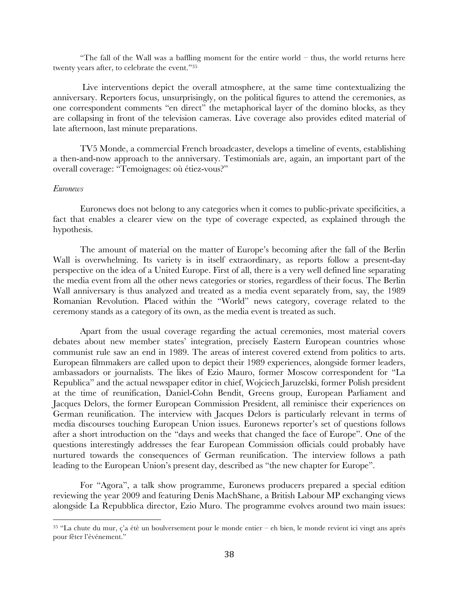"The fall of the Wall was a baffling moment for the entire world – thus, the world returns here twenty years after, to celebrate the event."35

 Live interventions depict the overall atmosphere, at the same time contextualizing the anniversary. Reporters focus, unsurprisingly, on the political figures to attend the ceremonies, as one correspondent comments "en direct" the metaphorical layer of the domino blocks, as they are collapsing in front of the television cameras. Live coverage also provides edited material of late afternoon, last minute preparations.

TV5 Monde, a commercial French broadcaster, develops a timeline of events, establishing a then-and-now approach to the anniversary. Testimonials are, again, an important part of the overall coverage: "Temoignages: où étiez-vous?"

#### *Euronews*

Euronews does not belong to any categories when it comes to public-private specificities, a fact that enables a clearer view on the type of coverage expected, as explained through the hypothesis.

The amount of material on the matter of Europe's becoming after the fall of the Berlin Wall is overwhelming. Its variety is in itself extraordinary, as reports follow a present-day perspective on the idea of a United Europe. First of all, there is a very well defined line separating the media event from all the other news categories or stories, regardless of their focus. The Berlin Wall anniversary is thus analyzed and treated as a media event separately from, say, the 1989 Romanian Revolution. Placed within the "World" news category, coverage related to the ceremony stands as a category of its own, as the media event is treated as such.

Apart from the usual coverage regarding the actual ceremonies, most material covers debates about new member states' integration, precisely Eastern European countries whose communist rule saw an end in 1989. The areas of interest covered extend from politics to arts. European filmmakers are called upon to depict their 1989 experiences, alongside former leaders, ambassadors or journalists. The likes of Ezio Mauro, former Moscow correspondent for "La Republica" and the actual newspaper editor in chief, Wojciech Jaruzelski, former Polish president at the time of reunification, Daniel-Cohn Bendit, Greens group, European Parliament and Jacques Delors, the former European Commission President, all reminisce their experiences on German reunification. The interview with Jacques Delors is particularly relevant in terms of media discourses touching European Union issues. Euronews reporter's set of questions follows after a short introduction on the "days and weeks that changed the face of Europe". One of the questions interestingly addresses the fear European Commission officials could probably have nurtured towards the consequences of German reunification. The interview follows a path leading to the European Union's present day, described as "the new chapter for Europe".

For "Agora", a talk show programme, Euronews producers prepared a special edition reviewing the year 2009 and featuring Denis MachShane, a British Labour MP exchanging views alongside La Repubblica director, Ezio Muro. The programme evolves around two main issues:

<sup>35</sup> "La chute du mur, ç'a étè un boulversement pour le monde entier – eh bien, le monde revient ici vingt ans après pour fêter l'événement."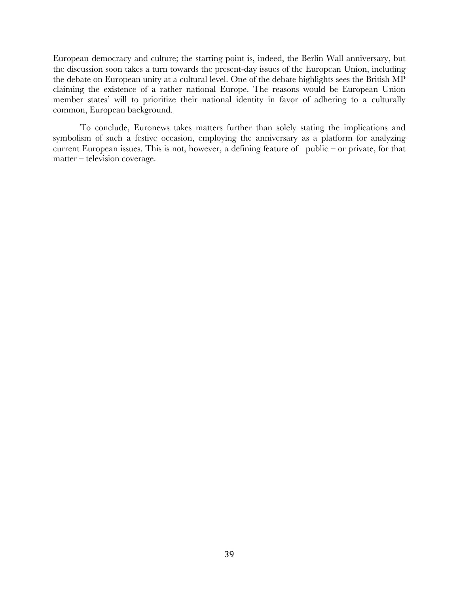European democracy and culture; the starting point is, indeed, the Berlin Wall anniversary, but the discussion soon takes a turn towards the present-day issues of the European Union, including the debate on European unity at a cultural level. One of the debate highlights sees the British MP claiming the existence of a rather national Europe. The reasons would be European Union member states' will to prioritize their national identity in favor of adhering to a culturally common, European background.

To conclude, Euronews takes matters further than solely stating the implications and symbolism of such a festive occasion, employing the anniversary as a platform for analyzing current European issues. This is not, however, a defining feature of public – or private, for that matter – television coverage.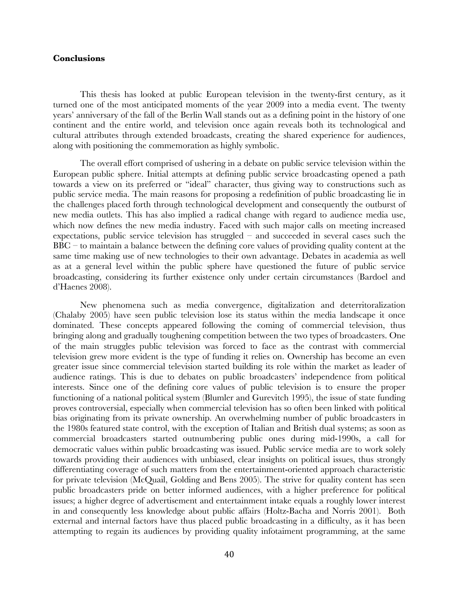# **Conclusions**

This thesis has looked at public European television in the twenty-first century, as it turned one of the most anticipated moments of the year 2009 into a media event. The twenty years' anniversary of the fall of the Berlin Wall stands out as a defining point in the history of one continent and the entire world, and television once again reveals both its technological and cultural attributes through extended broadcasts, creating the shared experience for audiences, along with positioning the commemoration as highly symbolic.

The overall effort comprised of ushering in a debate on public service television within the European public sphere. Initial attempts at defining public service broadcasting opened a path towards a view on its preferred or "ideal" character, thus giving way to constructions such as public service media. The main reasons for proposing a redefinition of public broadcasting lie in the challenges placed forth through technological development and consequently the outburst of new media outlets. This has also implied a radical change with regard to audience media use, which now defines the new media industry. Faced with such major calls on meeting increased expectations, public service television has struggled – and succeeded in several cases such the  $BBC -$  to maintain a balance between the defining core values of providing quality content at the same time making use of new technologies to their own advantage. Debates in academia as well as at a general level within the public sphere have questioned the future of public service broadcasting, considering its further existence only under certain circumstances (Bardoel and d'Haenes 2008).

New phenomena such as media convergence, digitalization and deterritoralization (Chalaby 2005) have seen public television lose its status within the media landscape it once dominated. These concepts appeared following the coming of commercial television, thus bringing along and gradually toughening competition between the two types of broadcasters. One of the main struggles public television was forced to face as the contrast with commercial television grew more evident is the type of funding it relies on. Ownership has become an even greater issue since commercial television started building its role within the market as leader of audience ratings. This is due to debates on public broadcasters' independence from political interests. Since one of the defining core values of public television is to ensure the proper functioning of a national political system (Blumler and Gurevitch 1995), the issue of state funding proves controversial, especially when commercial television has so often been linked with political bias originating from its private ownership. An overwhelming number of public broadcasters in the 1980s featured state control, with the exception of Italian and British dual systems; as soon as commercial broadcasters started outnumbering public ones during mid-1990s, a call for democratic values within public broadcasting was issued. Public service media are to work solely towards providing their audiences with unbiased, clear insights on political issues, thus strongly differentiating coverage of such matters from the entertainment-oriented approach characteristic for private television (McQuail, Golding and Bens 2005). The strive for quality content has seen public broadcasters pride on better informed audiences, with a higher preference for political issues; a higher degree of advertisement and entertainment intake equals a roughly lower interest in and consequently less knowledge about public affairs (Holtz-Bacha and Norris 2001). Both external and internal factors have thus placed public broadcasting in a difficulty, as it has been attempting to regain its audiences by providing quality infotaiment programming, at the same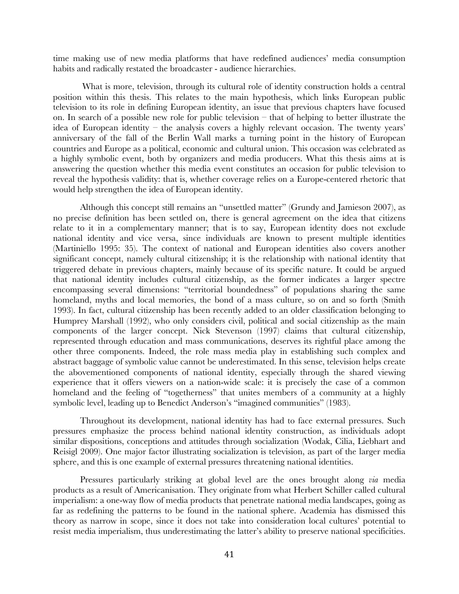time making use of new media platforms that have redefined audiences' media consumption habits and radically restated the broadcaster - audience hierarchies.

 What is more, television, through its cultural role of identity construction holds a central position within this thesis. This relates to the main hypothesis, which links European public television to its role in defining European identity, an issue that previous chapters have focused on. In search of a possible new role for public television – that of helping to better illustrate the idea of European identity – the analysis covers a highly relevant occasion. The twenty years' anniversary of the fall of the Berlin Wall marks a turning point in the history of European countries and Europe as a political, economic and cultural union. This occasion was celebrated as a highly symbolic event, both by organizers and media producers. What this thesis aims at is answering the question whether this media event constitutes an occasion for public television to reveal the hypothesis validity: that is, whether coverage relies on a Europe-centered rhetoric that would help strengthen the idea of European identity.

Although this concept still remains an "unsettled matter" (Grundy and Jamieson 2007), as no precise definition has been settled on, there is general agreement on the idea that citizens relate to it in a complementary manner; that is to say, European identity does not exclude national identity and vice versa, since individuals are known to present multiple identities (Martiniello 1995: 35). The context of national and European identities also covers another significant concept, namely cultural citizenship; it is the relationship with national identity that triggered debate in previous chapters, mainly because of its specific nature. It could be argued that national identity includes cultural citizenship, as the former indicates a larger spectre encompassing several dimensions: "territorial boundedness" of populations sharing the same homeland, myths and local memories, the bond of a mass culture, so on and so forth (Smith 1993). In fact, cultural citizenship has been recently added to an older classification belonging to Humprey Marshall (1992), who only considers civil, political and social citizenship as the main components of the larger concept. Nick Stevenson (1997) claims that cultural citizenship, represented through education and mass communications, deserves its rightful place among the other three components. Indeed, the role mass media play in establishing such complex and abstract baggage of symbolic value cannot be underestimated. In this sense, television helps create the abovementioned components of national identity, especially through the shared viewing experience that it offers viewers on a nation-wide scale: it is precisely the case of a common homeland and the feeling of "togetherness" that unites members of a community at a highly symbolic level, leading up to Benedict Anderson's "imagined communities" (1983).

Throughout its development, national identity has had to face external pressures. Such pressures emphasize the process behind national identity construction, as individuals adopt similar dispositions, conceptions and attitudes through socialization (Wodak, Cilia, Liebhart and Reisigl 2009). One major factor illustrating socialization is television, as part of the larger media sphere, and this is one example of external pressures threatening national identities.

Pressures particularly striking at global level are the ones brought along *via* media products as a result of Americanisation. They originate from what Herbert Schiller called cultural imperialism: a one-way flow of media products that penetrate national media landscapes, going as far as redefining the patterns to be found in the national sphere. Academia has dismissed this theory as narrow in scope, since it does not take into consideration local cultures' potential to resist media imperialism, thus underestimating the latter's ability to preserve national specificities.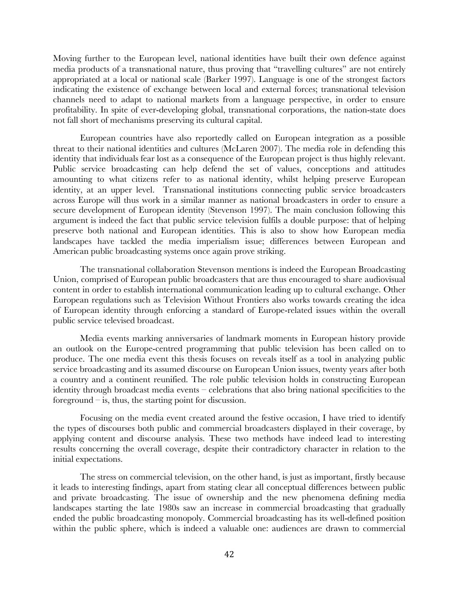Moving further to the European level, national identities have built their own defence against media products of a transnational nature, thus proving that "travelling cultures" are not entirely appropriated at a local or national scale (Barker 1997). Language is one of the strongest factors indicating the existence of exchange between local and external forces; transnational television channels need to adapt to national markets from a language perspective, in order to ensure profitability. In spite of ever-developing global, transnational corporations, the nation-state does not fall short of mechanisms preserving its cultural capital.

European countries have also reportedly called on European integration as a possible threat to their national identities and cultures (McLaren 2007). The media role in defending this identity that individuals fear lost as a consequence of the European project is thus highly relevant. Public service broadcasting can help defend the set of values, conceptions and attitudes amounting to what citizens refer to as national identity, whilst helping preserve European identity, at an upper level. Transnational institutions connecting public service broadcasters across Europe will thus work in a similar manner as national broadcasters in order to ensure a secure development of European identity (Stevenson 1997). The main conclusion following this argument is indeed the fact that public service television fulfils a double purpose: that of helping preserve both national and European identities. This is also to show how European media landscapes have tackled the media imperialism issue; differences between European and American public broadcasting systems once again prove striking.

The transnational collaboration Stevenson mentions is indeed the European Broadcasting Union, comprised of European public broadcasters that are thus encouraged to share audiovisual content in order to establish international communication leading up to cultural exchange. Other European regulations such as Television Without Frontiers also works towards creating the idea of European identity through enforcing a standard of Europe-related issues within the overall public service televised broadcast.

Media events marking anniversaries of landmark moments in European history provide an outlook on the Europe-centred programming that public television has been called on to produce. The one media event this thesis focuses on reveals itself as a tool in analyzing public service broadcasting and its assumed discourse on European Union issues, twenty years after both a country and a continent reunified. The role public television holds in constructing European identity through broadcast media events – celebrations that also bring national specificities to the foreground  $-$  is, thus, the starting point for discussion.

Focusing on the media event created around the festive occasion, I have tried to identify the types of discourses both public and commercial broadcasters displayed in their coverage, by applying content and discourse analysis. These two methods have indeed lead to interesting results concerning the overall coverage, despite their contradictory character in relation to the initial expectations.

The stress on commercial television, on the other hand, is just as important, firstly because it leads to interesting findings, apart from stating clear all conceptual differences between public and private broadcasting. The issue of ownership and the new phenomena defining media landscapes starting the late 1980s saw an increase in commercial broadcasting that gradually ended the public broadcasting monopoly. Commercial broadcasting has its well-defined position within the public sphere, which is indeed a valuable one: audiences are drawn to commercial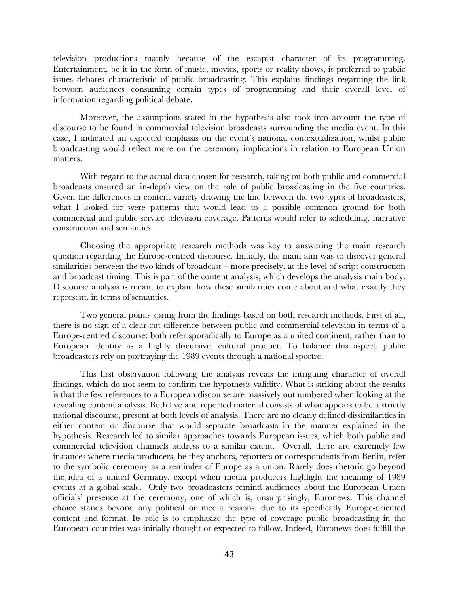television productions mainly because of the escapist character of its programming. Entertainment, be it in the form of music, movies, sports or reality shows, is preferred to public issues debates characteristic of public broadcasting. This explains findings regarding the link between audiences consuming certain types of programming and their overall level of information regarding political debate.

Moreover, the assumptions stated in the hypothesis also took into account the type of discourse to be found in commercial television broadcasts surrounding the media event. In this case, I indicated an expected emphasis on the event's national contextualization, whilst public broadcasting would reflect more on the ceremony implications in relation to European Union matters.

With regard to the actual data chosen for research, taking on both public and commercial broadcasts ensured an in-depth view on the role of public broadcasting in the five countries. Given the differences in content variety drawing the line between the two types of broadcasters, what I looked for were patterns that would lead to a possible common ground for both commercial and public service television coverage. Patterns would refer to scheduling, narrative construction and semantics.

Choosing the appropriate research methods was key to answering the main research question regarding the Europe-centred discourse. Initially, the main aim was to discover general similarities between the two kinds of broadcast – more precisely, at the level of script construction and broadcast timing. This is part of the content analysis, which develops the analysis main body. Discourse analysis is meant to explain how these similarities come about and what exactly they represent, in terms of semantics.

Two general points spring from the findings based on both research methods. First of all, there is no sign of a clear-cut difference between public and commercial television in terms of a Europe-centred discourse: both refer sporadically to Europe as a united continent, rather than to European identity as a highly discursive, cultural product. To balance this aspect, public broadcasters rely on portraying the 1989 events through a national spectre.

This first observation following the analysis reveals the intriguing character of overall findings, which do not seem to confirm the hypothesis validity. What is striking about the results is that the few references to a European discourse are massively outnumbered when looking at the revealing content analysis. Both live and reported material consists of what appears to be a strictly national discourse, present at both levels of analysis. There are no clearly defined dissimilarities in either content or discourse that would separate broadcasts in the manner explained in the hypothesis. Research led to similar approaches towards European issues, which both public and commercial television channels address to a similar extent. Overall, there are extremely few instances where media producers, be they anchors, reporters or correspondents from Berlin, refer to the symbolic ceremony as a reminder of Europe as a union. Rarely does rhetoric go beyond the idea of a united Germany, except when media producers highlight the meaning of 1989 events at a global scale. Only two broadcasters remind audiences about the European Union officials' presence at the ceremony, one of which is, unsurprisingly, Euronews. This channel choice stands beyond any political or media reasons, due to its specifically Europe-oriented content and format. Its role is to emphasize the type of coverage public broadcasting in the European countries was initially thought or expected to follow. Indeed, Euronews does fulfill the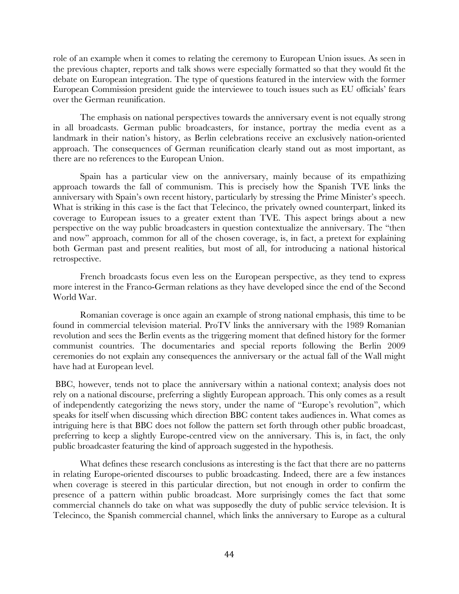role of an example when it comes to relating the ceremony to European Union issues. As seen in the previous chapter, reports and talk shows were especially formatted so that they would fit the debate on European integration. The type of questions featured in the interview with the former European Commission president guide the interviewee to touch issues such as EU officials' fears over the German reunification.

The emphasis on national perspectives towards the anniversary event is not equally strong in all broadcasts. German public broadcasters, for instance, portray the media event as a landmark in their nation's history, as Berlin celebrations receive an exclusively nation-oriented approach. The consequences of German reunification clearly stand out as most important, as there are no references to the European Union.

Spain has a particular view on the anniversary, mainly because of its empathizing approach towards the fall of communism. This is precisely how the Spanish TVE links the anniversary with Spain's own recent history, particularly by stressing the Prime Minister's speech. What is striking in this case is the fact that Telecinco, the privately owned counterpart, linked its coverage to European issues to a greater extent than TVE. This aspect brings about a new perspective on the way public broadcasters in question contextualize the anniversary. The "then and now" approach, common for all of the chosen coverage, is, in fact, a pretext for explaining both German past and present realities, but most of all, for introducing a national historical retrospective.

French broadcasts focus even less on the European perspective, as they tend to express more interest in the Franco-German relations as they have developed since the end of the Second World War.

Romanian coverage is once again an example of strong national emphasis, this time to be found in commercial television material. ProTV links the anniversary with the 1989 Romanian revolution and sees the Berlin events as the triggering moment that defined history for the former communist countries. The documentaries and special reports following the Berlin 2009 ceremonies do not explain any consequences the anniversary or the actual fall of the Wall might have had at European level.

 BBC, however, tends not to place the anniversary within a national context; analysis does not rely on a national discourse, preferring a slightly European approach. This only comes as a result of independently categorizing the news story, under the name of "Europe's revolution", which speaks for itself when discussing which direction BBC content takes audiences in. What comes as intriguing here is that BBC does not follow the pattern set forth through other public broadcast, preferring to keep a slightly Europe-centred view on the anniversary. This is, in fact, the only public broadcaster featuring the kind of approach suggested in the hypothesis.

What defines these research conclusions as interesting is the fact that there are no patterns in relating Europe-oriented discourses to public broadcasting. Indeed, there are a few instances when coverage is steered in this particular direction, but not enough in order to confirm the presence of a pattern within public broadcast. More surprisingly comes the fact that some commercial channels do take on what was supposedly the duty of public service television. It is Telecinco, the Spanish commercial channel, which links the anniversary to Europe as a cultural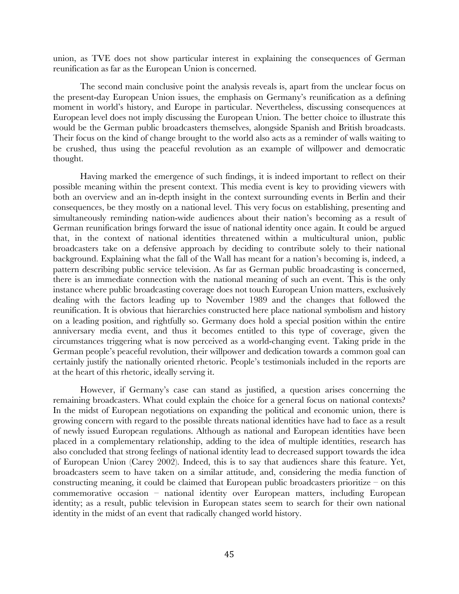union, as TVE does not show particular interest in explaining the consequences of German reunification as far as the European Union is concerned.

The second main conclusive point the analysis reveals is, apart from the unclear focus on the present-day European Union issues, the emphasis on Germany's reunification as a defining moment in world's history, and Europe in particular. Nevertheless, discussing consequences at European level does not imply discussing the European Union. The better choice to illustrate this would be the German public broadcasters themselves, alongside Spanish and British broadcasts. Their focus on the kind of change brought to the world also acts as a reminder of walls waiting to be crushed, thus using the peaceful revolution as an example of willpower and democratic thought.

Having marked the emergence of such findings, it is indeed important to reflect on their possible meaning within the present context. This media event is key to providing viewers with both an overview and an in-depth insight in the context surrounding events in Berlin and their consequences, be they mostly on a national level. This very focus on establishing, presenting and simultaneously reminding nation-wide audiences about their nation's becoming as a result of German reunification brings forward the issue of national identity once again. It could be argued that, in the context of national identities threatened within a multicultural union, public broadcasters take on a defensive approach by deciding to contribute solely to their national background. Explaining what the fall of the Wall has meant for a nation's becoming is, indeed, a pattern describing public service television. As far as German public broadcasting is concerned, there is an immediate connection with the national meaning of such an event. This is the only instance where public broadcasting coverage does not touch European Union matters, exclusively dealing with the factors leading up to November 1989 and the changes that followed the reunification. It is obvious that hierarchies constructed here place national symbolism and history on a leading position, and rightfully so. Germany does hold a special position within the entire anniversary media event, and thus it becomes entitled to this type of coverage, given the circumstances triggering what is now perceived as a world-changing event. Taking pride in the German people's peaceful revolution, their willpower and dedication towards a common goal can certainly justify the nationally oriented rhetoric. People's testimonials included in the reports are at the heart of this rhetoric, ideally serving it.

However, if Germany's case can stand as justified, a question arises concerning the remaining broadcasters. What could explain the choice for a general focus on national contexts? In the midst of European negotiations on expanding the political and economic union, there is growing concern with regard to the possible threats national identities have had to face as a result of newly issued European regulations. Although as national and European identities have been placed in a complementary relationship, adding to the idea of multiple identities, research has also concluded that strong feelings of national identity lead to decreased support towards the idea of European Union (Carey 2002). Indeed, this is to say that audiences share this feature. Yet, broadcasters seem to have taken on a similar attitude, and, considering the media function of constructing meaning, it could be claimed that European public broadcasters prioritize – on this commemorative occasion – national identity over European matters, including European identity; as a result, public television in European states seem to search for their own national identity in the midst of an event that radically changed world history.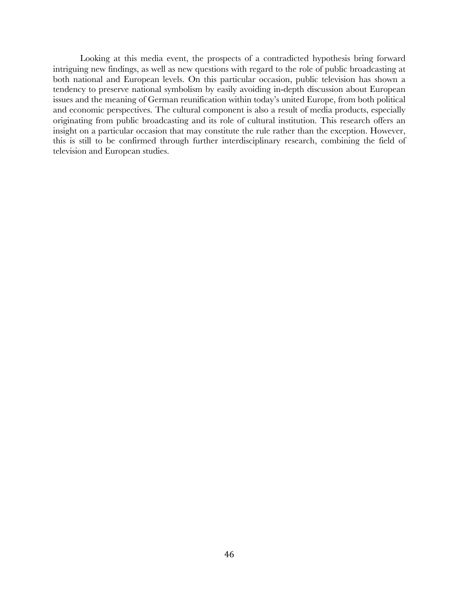Looking at this media event, the prospects of a contradicted hypothesis bring forward intriguing new findings, as well as new questions with regard to the role of public broadcasting at both national and European levels. On this particular occasion, public television has shown a tendency to preserve national symbolism by easily avoiding in-depth discussion about European issues and the meaning of German reunification within today's united Europe, from both political and economic perspectives. The cultural component is also a result of media products, especially originating from public broadcasting and its role of cultural institution. This research offers an insight on a particular occasion that may constitute the rule rather than the exception. However, this is still to be confirmed through further interdisciplinary research, combining the field of television and European studies.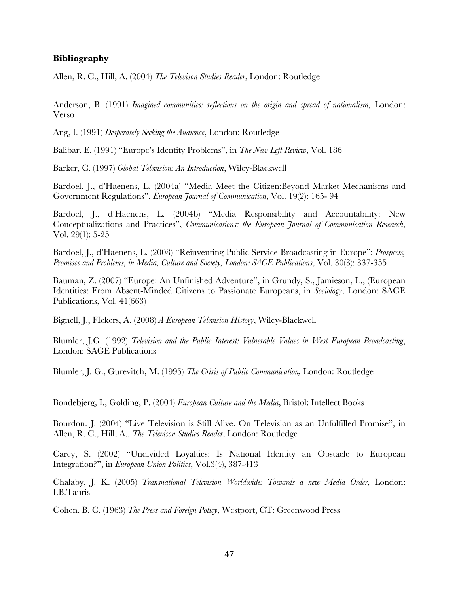# **Bibliography**

Allen, R. C., Hill, A. (2004) *The Televison Studies Reader*, London: Routledge

Anderson, B. (1991) *Imagined communities: reflections on the origin and spread of nationalism,* London: Verso

Ang, I. (1991) *Desperately Seeking the Audience*, London: Routledge

Balibar, E. (1991) "Europe's Identity Problems", in *The New Left Review*, Vol. 186

Barker, C. (1997) *Global Television: An Introduction*, Wiley-Blackwell

Bardoel, J., d'Haenens, L. (2004a) "Media Meet the Citizen:Beyond Market Mechanisms and Government Regulations", *European Journal of Communication*, Vol. 19(2): 165- 94

Bardoel, J., d'Haenens, L. (2004b) "Media Responsibility and Accountability: New Conceptualizations and Practices", *Communications: the European Journal of Communication Research*, Vol. 29(1): 5-25

Bardoel, J., d'Haenens, L. (2008) "Reinventing Public Service Broadcasting in Europe": *Prospects, Promises and Problems, in Media, Culture and Society, London: SAGE Publications*, Vol. 30(3): 337-355

Bauman, Z. (2007) "Europe: An Unfinished Adventure", in Grundy, S., Jamieson, L., (European Identities: From Absent-Minded Citizens to Passionate Europeans, in *Sociology*, London: SAGE Publications, Vol. 41(663)

Bignell, J., FIckers, A. (2008) *A European Television History*, Wiley-Blackwell

Blumler, J.G. (1992) *Television and the Public Interest: Vulnerable Values in West European Broadcasting*, London: SAGE Publications

Blumler, J. G., Gurevitch, M. (1995) *The Crisis of Public Communication,* London: Routledge

Bondebjerg, I., Golding, P. (2004) *European Culture and the Media*, Bristol: Intellect Books

Bourdon. J. (2004) "Live Television is Still Alive. On Television as an Unfulfilled Promise", in Allen, R. C., Hill, A., *The Televison Studies Reader*, London: Routledge

Carey, S. (2002) "Undivided Loyalties: Is National Identity an Obstacle to European Integration?", in *European Union Politics*, Vol.3(4), 387-413

Chalaby, J. K. (2005) *Transnational Television Worldwide: Towards a new Media Order*, London: I.B.Tauris

Cohen, B. C. (1963) *The Press and Foreign Policy*, Westport, CT: Greenwood Press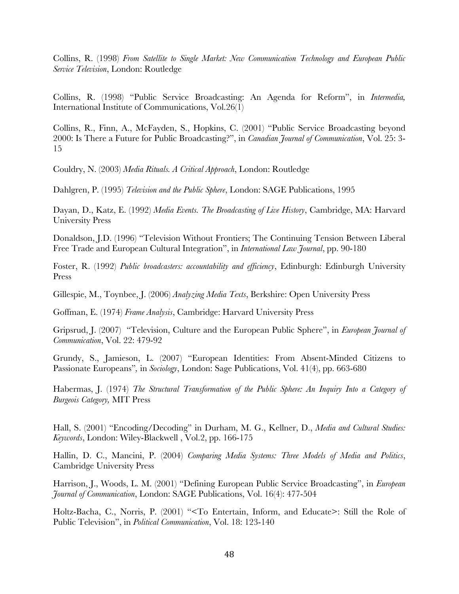Collins, R. (1998) *From Satellite to Single Market: New Communication Technology and European Public Service Television*, London: Routledge

Collins, R. (1998) "Public Service Broadcasting: An Agenda for Reform", in *Intermedia,*  International Institute of Communications, Vol.26(1)

Collins, R., Finn, A., McFayden, S., Hopkins, C. (2001) "Public Service Broadcasting beyond 2000: Is There a Future for Public Broadcasting?", in *Canadian Journal of Communication*, Vol. 25: 3- 15

Couldry, N. (2003) *Media Rituals. A Critical Approach*, London: Routledge

Dahlgren, P. (1995) *Television and the Public Sphere*, London: SAGE Publications, 1995

Dayan, D., Katz, E. (1992) *Media Events. The Broadcasting of Live History*, Cambridge, MA: Harvard University Press

Donaldson, J.D. (1996) "Television Without Frontiers; The Continuing Tension Between Liberal Free Trade and European Cultural Integration", in *International Law Journal*, pp. 90-180

Foster, R. (1992) *Public broadcasters: accountability and efficiency*, Edinburgh: Edinburgh University Press

Gillespie, M., Toynbee, J. (2006) *Analyzing Media Texts*, Berkshire: Open University Press

Goffman, E. (1974) *Frame Analysis*, Cambridge: Harvard University Press

Gripsrud, J. (2007) "Television, Culture and the European Public Sphere", in *European Journal of Communication*, Vol. 22: 479-92

Grundy, S., Jamieson, L. (2007) "European Identities: From Absent-Minded Citizens to Passionate Europeans"*,* in *Sociology*, London: Sage Publications, Vol. 41(4), pp. 663-680

Habermas, J. (1974) *The Structural Transformation of the Public Sphere: An Inquiry Into a Category of Burgeois Category,* MIT Press

Hall, S. (2001) "Encoding/Decoding" in Durham, M. G., Kellner, D., *Media and Cultural Studies: Keywords*, London: Wiley-Blackwell , Vol.2, pp. 166-175

Hallin, D. C., Mancini, P. (2004) *Comparing Media Systems: Three Models of Media and Politics*, Cambridge University Press

Harrison, J., Woods, L. M. (2001) "Defining European Public Service Broadcasting", in *European Journal of Communication*, London: SAGE Publications, Vol. 16(4): 477-504

Holtz-Bacha, C., Norris, P. (2001) "<To Entertain, Inform, and Educate>: Still the Role of Public Television", in *Political Communication*, Vol. 18: 123-140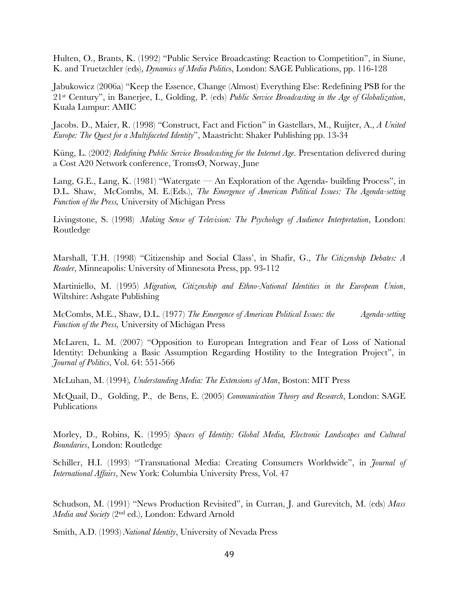Hulten, O., Brants, K. (1992) "Public Service Broadcasting: Reaction to Competition", in Siune, K. and Truetzchler (eds), *Dynamics of Media Politic*s, London: SAGE Publications, pp. 116-128

Jabukowicz (2006a) "Keep the Essence, Change (Almost) Everything Else: Redefining PSB for the 21st Century", in Banerjee, I., Golding, P. (eds) *Public Service Broadcasting in the Age of Globalization*, Kuala Lumpur: AMIC

Jacobs. D., Maier, R. (1998) "Construct, Fact and Fiction" in Gastellars, M., Ruijter, A., *A United Europe: The Quest for a Multifaceted Identity*", Maastricht: Shaker Publishing pp. 13-34

Küng, L. (2002) *Redefining Public Service Broadcasting for the Internet Age*. Presentation delivered during a Cost A20 Network conference, TromsØ, Norway, June

Lang, G.E., Lang, K. (1981) "Watergate — An Exploration of the Agenda- building Process", in D.L. Shaw, McCombs, M. E.(Eds.), *The Emergence of American Political Issues: The Agenda-setting Function of the Press,* University of Michigan Press

Livingstone, S. (1998) *Making Sense of Television: The Psychology of Audience Interpretation*, London: Routledge

Marshall, T.H. (1998) "Citizenship and Social Class', in Shafir, G., *The Citizenship Debates: A Reader*, Minneapolis: University of Minnesota Press, pp. 93-112

Martiniello, M. (1995) *Migration, Citizenship and Ethno-National Identities in the European Union*, Wiltshire: Ashgate Publishing

McCombs, M.E., Shaw, D.L. (1977) *The Emergence of American Political Issues: the Agenda-setting Function of the Press,* University of Michigan Press

McLaren, L. M. (2007) "Opposition to European Integration and Fear of Loss of National Identity: Debunking a Basic Assumption Regarding Hostility to the Integration Project", in *Journal of Politics*, Vol. 64: 551-566

McLuhan, M. (1994)*, Understanding Media: The Extensions of Man*, Boston: MIT Press

McQuail, D., Golding, P., de Bens, E. (2005) *Communication Theory and Research*, London: SAGE Publications

Morley, D., Robins, K. (1995) *Spaces of Identity: Global Media, Electronic Landscapes and Cultural Boundaries*, London: Routledge

Schiller, H.I. (1993) "Transnational Media: Creating Consumers Worldwide", in *Journal of International Affairs*, New York: Columbia University Press, Vol. 47

Schudson, M. (1991) "News Production Revisited", in Curran, J. and Gurevitch, M. (eds) *Mass Media and Society* (2nd ed.), London: Edward Arnold

Smith, A.D. (1993) *National Identity*, University of Nevada Press